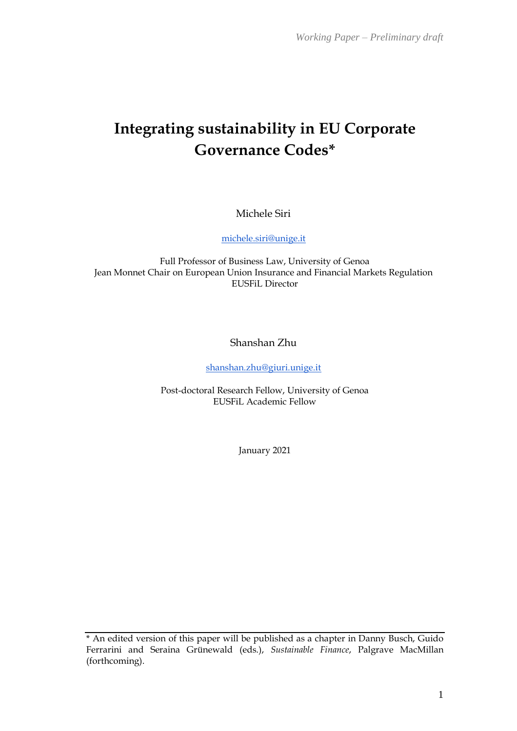# **Integrating sustainability in EU Corporate Governance Codes\***

Michele Siri

[michele.siri@unige.it](mailto:michele.siri@unige.it)

Full Professor of Business Law, University of Genoa Jean Monnet Chair on European Union Insurance and Financial Markets Regulation EUSFiL Director

Shanshan Zhu

[shanshan.zhu@giuri.unige.it](mailto:shanshan.zhu@giuri.unige.it)

Post-doctoral Research Fellow, University of Genoa EUSFiL Academic Fellow

January 2021

\* An edited version of this paper will be published as a chapter in Danny Busch, Guido Ferrarini and Seraina Grünewald (eds.), *Sustainable Finance*, Palgrave MacMillan (forthcoming).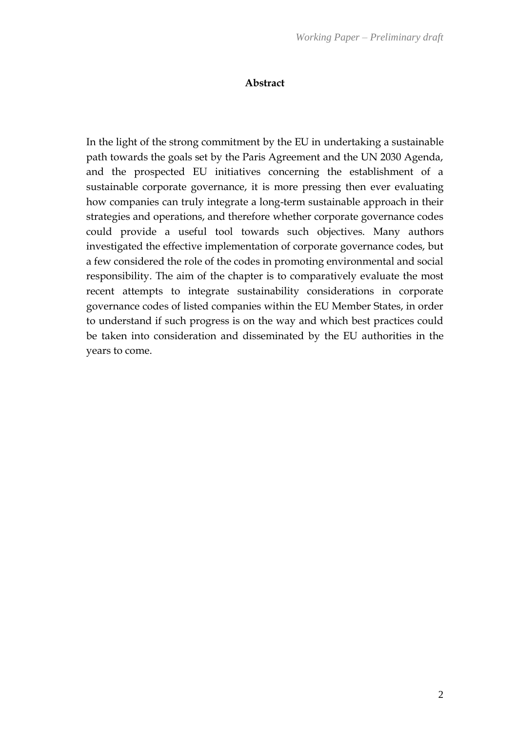#### **Abstract**

In the light of the strong commitment by the EU in undertaking a sustainable path towards the goals set by the Paris Agreement and the UN 2030 Agenda, and the prospected EU initiatives concerning the establishment of a sustainable corporate governance, it is more pressing then ever evaluating how companies can truly integrate a long-term sustainable approach in their strategies and operations, and therefore whether corporate governance codes could provide a useful tool towards such objectives. Many authors investigated the effective implementation of corporate governance codes, but a few considered the role of the codes in promoting environmental and social responsibility. The aim of the chapter is to comparatively evaluate the most recent attempts to integrate sustainability considerations in corporate governance codes of listed companies within the EU Member States, in order to understand if such progress is on the way and which best practices could be taken into consideration and disseminated by the EU authorities in the years to come.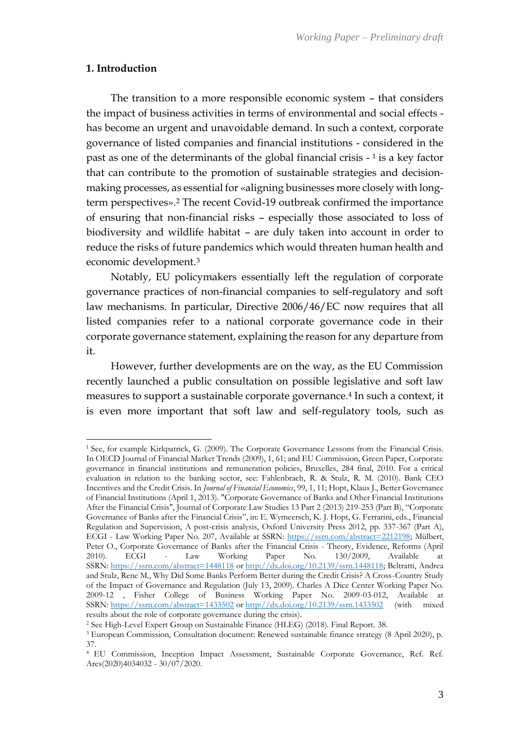#### **1. Introduction**

The transition to a more responsible economic system – that considers the impact of business activities in terms of environmental and social effects has become an urgent and unavoidable demand. In such a context, corporate governance of listed companies and financial institutions - considered in the past as one of the determinants of the global financial crisis - <sup>1</sup> is a key factor that can contribute to the promotion of sustainable strategies and decisionmaking processes, as essential for «aligning businesses more closely with longterm perspectives». <sup>2</sup> The recent Covid-19 outbreak confirmed the importance of ensuring that non-financial risks – especially those associated to loss of biodiversity and wildlife habitat – are duly taken into account in order to reduce the risks of future pandemics which would threaten human health and economic development.<sup>3</sup>

Notably, EU policymakers essentially left the regulation of corporate governance practices of non-financial companies to self-regulatory and soft law mechanisms. In particular, Directive 2006/46/EC now requires that all listed companies refer to a national corporate governance code in their corporate governance statement, explaining the reason for any departure from it.

However, further developments are on the way, as the EU Commission recently launched a public consultation on possible legislative and soft law measures to support a sustainable corporate governance.<sup>4</sup> In such a context, it is even more important that soft law and self-regulatory tools, such as

<sup>1</sup> See, for example Kirkpatrick, G. (2009). The Corporate Governance Lessons from the Financial Crisis. In OECD Journal of Financial Market Trends (2009), 1, 61; and EU Commission, Green Paper, Corporate governance in financial institutions and remuneration policies, Bruxelles, 284 final, 2010. For a critical evaluation in relation to the banking sector, see: Fahlenbrach, R. & Stulz, R. M. (2010). Bank CEO Incentives and the Credit Crisis. In *Journal of Financial Economics*, 99, 1, 11; Hopt, Klaus J., Better Governance of Financial Institutions (April 1, 2013). "Corporate Governance of Banks and Other Financial Institutions After the Financial Crisis", Journal of Corporate Law Studies 13 Part 2 (2013) 219-253 (Part B), "Corporate Governance of Banks after the Financial Crisis", in: E. Wymeersch, K. J. Hopt, G. Ferrarini, eds., Financial Regulation and Supervision, A post-crisis analysis, Oxford University Press 2012, pp. 337-367 (Part A), ECGI - Law Working Paper No. 207, Available at SSRN: [https://ssrn.com/abstract=2212198;](https://ssrn.com/abstract=2212198) Mülbert, Peter O., Corporate Governance of Banks after the Financial Crisis - Theory, Evidence, Reforms (April 2010). ECGI - Law Working Paper No. 130/2009, Available at SSRN: <https://ssrn.com/abstract=1448118> or [http://dx.doi.org/10.2139/ssrn.1448118;](https://dx.doi.org/10.2139/ssrn.1448118) Beltratti, Andrea and Stulz, Rene M., Why Did Some Banks Perform Better during the Credit Crisis? A Cross-Country Study of the Impact of Governance and Regulation (July 13, 2009). Charles A Dice Center Working Paper No. 2009-12 , Fisher College of Business Working Paper No. 2009-03-012, Available at SSRN: <https://ssrn.com/abstract=1433502> or [http://dx.doi.org/10.2139/ssrn.1433502](https://dx.doi.org/10.2139/ssrn.1433502) (with mixed results about the role of corporate governance during the crisis).

<sup>2</sup> See High-Level Expert Group on Sustainable Finance (HLEG) (2018). Final Report. 38.

<sup>3</sup> European Commission, Consultation document: Renewed sustainable finance strategy (8 April 2020), p. 37.

<sup>4</sup> EU Commission, Inception Impact Assessment, Sustainable Corporate Governance, Ref. Ref. Ares(2020)4034032 - 30/07/2020.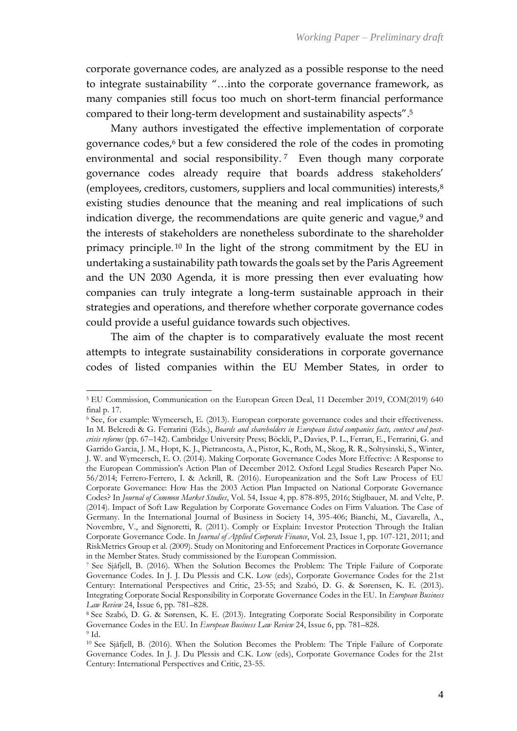corporate governance codes, are analyzed as a possible response to the need to integrate sustainability "…into the corporate governance framework, as many companies still focus too much on short-term financial performance compared to their long-term development and sustainability aspects". 5

Many authors investigated the effective implementation of corporate governance codes, <sup>6</sup> but a few considered the role of the codes in promoting environmental and social responsibility.<sup>7</sup> Even though many corporate governance codes already require that boards address stakeholders' (employees, creditors, customers, suppliers and local communities) interests,<sup>8</sup> existing studies denounce that the meaning and real implications of such indication diverge, the recommendations are quite generic and vague, $9$  and the interests of stakeholders are nonetheless subordinate to the shareholder primacy principle. <sup>10</sup> In the light of the strong commitment by the EU in undertaking a sustainability path towards the goals set by the Paris Agreement and the UN 2030 Agenda, it is more pressing then ever evaluating how companies can truly integrate a long-term sustainable approach in their strategies and operations, and therefore whether corporate governance codes could provide a useful guidance towards such objectives.

The aim of the chapter is to comparatively evaluate the most recent attempts to integrate sustainability considerations in corporate governance codes of listed companies within the EU Member States, in order to

<sup>5</sup> EU Commission, Communication on the European Green Deal, 11 December 2019, COM(2019) 640 final p. 17.

<sup>6</sup> See, for example: Wymeersch, E. (2013). European corporate governance codes and their effectiveness. In M. Belcredi & G. Ferrarini (Eds.), *Boards and shareholders in European listed companies facts, context and postcrisis reforms* (pp. 67–142). Cambridge University Press; Böckli, P., Davies, P. L., Ferran, E., Ferrarini, G. and Garrido Garcia, J. M., Hopt, K. J., Pietrancosta, A., Pistor, K., Roth, M., Skog, R. R., Soltysinski, S., Winter, J. W. and Wymeersch, E. O. (2014). Making Corporate Governance Codes More Effective: A Response to the European Commission's Action Plan of December 2012. Oxford Legal Studies Research Paper No. 56/2014; Ferrero-Ferrero, I. & Ackrill, R. (2016). Europeanization and the Soft Law Process of EU Corporate Governance: How Has the 2003 Action Plan Impacted on National Corporate Governance Codes? In *Journal of Common Market Studies*, Vol. 54, Issue 4, pp. 878-895, 2016; Stiglbauer, M. and Velte, P. (2014). Impact of Soft Law Regulation by Corporate Governance Codes on Firm Valuation. The Case of Germany. In the International Journal of Business in Society 14, 395-406; Bianchi, M., Ciavarella, A., Novembre, V., and Signoretti, R. (2011). Comply or Explain: Investor Protection Through the Italian Corporate Governance Code. In *Journal of Applied Corporate Finance*, Vol. 23, Issue 1, pp. 107-121, 2011; and RiskMetrics Group et al. (2009). Study on Monitoring and Enforcement Practices in Corporate Governance in the Member States. Study commissioned by the European Commission.

<sup>7</sup> See Sjåfjell, B. (2016). When the Solution Becomes the Problem: The Triple Failure of Corporate Governance Codes. In J. J. Du Plessis and C.K. Low (eds), Corporate Governance Codes for the 21st Century: International Perspectives and Critic, 23-55; and Szabó, D. G. & Sørensen, K. E. (2013). Integrating Corporate Social Responsibility in Corporate Governance Codes in the EU. In *European Business Law Review* 24, Issue 6, pp. 781–828.

<sup>8</sup> See Szabó, D. G. & Sørensen, K. E. (2013). Integrating Corporate Social Responsibility in Corporate Governance Codes in the EU. In *European Business Law Review* 24, Issue 6, pp. 781–828. <sup>9</sup> Id.

<sup>10</sup> See Sjåfjell, B. (2016). When the Solution Becomes the Problem: The Triple Failure of Corporate Governance Codes. In J. J. Du Plessis and C.K. Low (eds), Corporate Governance Codes for the 21st Century: International Perspectives and Critic, 23-55.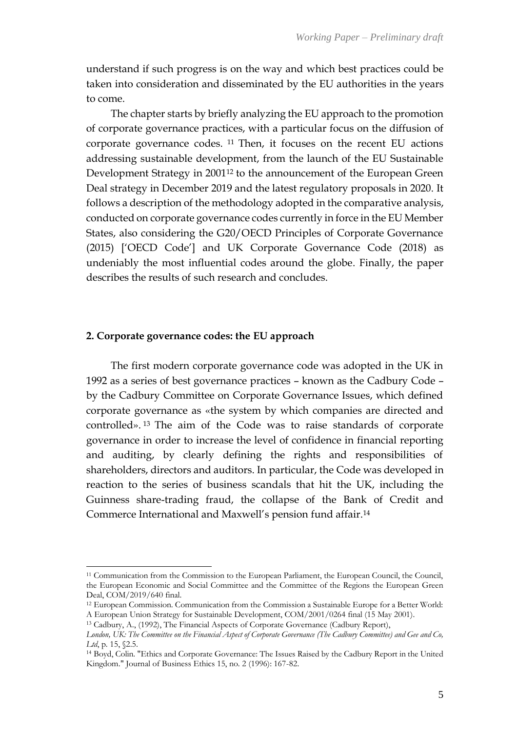understand if such progress is on the way and which best practices could be taken into consideration and disseminated by the EU authorities in the years to come.

The chapter starts by briefly analyzing the EU approach to the promotion of corporate governance practices, with a particular focus on the diffusion of corporate governance codes. <sup>11</sup> Then, it focuses on the recent EU actions addressing sustainable development, from the launch of the EU Sustainable Development Strategy in 2001<sup>12</sup> to the announcement of the European Green Deal strategy in December 2019 and the latest regulatory proposals in 2020. It follows a description of the methodology adopted in the comparative analysis, conducted on corporate governance codes currently in force in the EU Member States, also considering the G20/OECD Principles of Corporate Governance (2015) ['OECD Code'] and UK Corporate Governance Code (2018) as undeniably the most influential codes around the globe. Finally, the paper describes the results of such research and concludes.

#### **2. Corporate governance codes: the EU approach**

The first modern corporate governance code was adopted in the UK in 1992 as a series of best governance practices – known as the Cadbury Code – by the Cadbury Committee on Corporate Governance Issues, which defined corporate governance as «the system by which companies are directed and controlled». <sup>13</sup> The aim of the Code was to raise standards of corporate governance in order to increase the level of confidence in financial reporting and auditing, by clearly defining the rights and responsibilities of shareholders, directors and auditors. In particular, the Code was developed in reaction to the series of business scandals that hit the UK, including the Guinness share-trading fraud, the collapse of the Bank of Credit and Commerce International and Maxwell's pension fund affair.<sup>14</sup>

<sup>11</sup> Communication from the Commission to the European Parliament, the European Council, the Council, the European Economic and Social Committee and the Committee of the Regions the European Green Deal, COM/2019/640 final.

<sup>12</sup> European Commission. Communication from the Commission a Sustainable Europe for a Better World: A European Union Strategy for Sustainable Development, COM/2001/0264 final (15 May 2001).

<sup>13</sup> Cadbury, A., (1992), The Financial Aspects of Corporate Governance (Cadbury Report),

*London, UK: The Committee on the Financial Aspect of Corporate Governance (The Cadbury Committee) and Gee and Co, Ltd*, p. 15, §2.5.

<sup>14</sup> Boyd, Colin. "Ethics and Corporate Governance: The Issues Raised by the Cadbury Report in the United Kingdom." Journal of Business Ethics 15, no. 2 (1996): 167-82.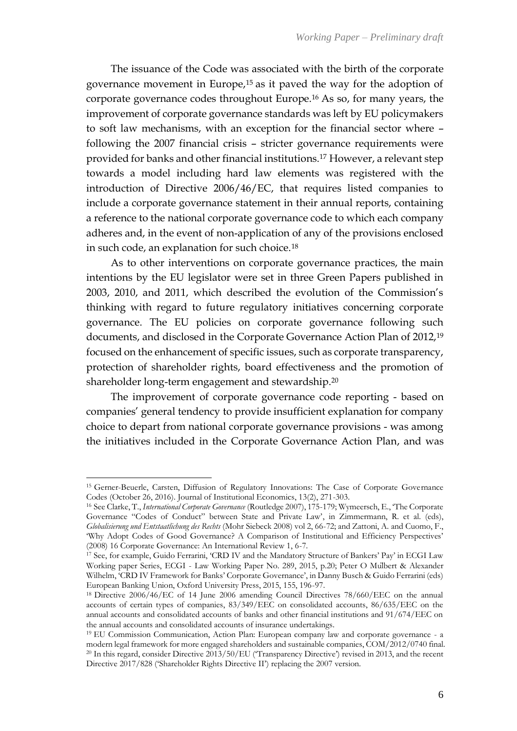The issuance of the Code was associated with the birth of the corporate governance movement in Europe,<sup>15</sup> as it paved the way for the adoption of corporate governance codes throughout Europe.<sup>16</sup> As so, for many years, the improvement of corporate governance standards was left by EU policymakers to soft law mechanisms, with an exception for the financial sector where – following the 2007 financial crisis – stricter governance requirements were provided for banks and other financial institutions.<sup>17</sup> However, a relevant step towards a model including hard law elements was registered with the introduction of Directive 2006/46/EC, that requires listed companies to include a corporate governance statement in their annual reports, containing a reference to the national corporate governance code to which each company adheres and, in the event of non-application of any of the provisions enclosed in such code, an explanation for such choice.<sup>18</sup>

As to other interventions on corporate governance practices, the main intentions by the EU legislator were set in three Green Papers published in 2003, 2010, and 2011, which described the evolution of the Commission's thinking with regard to future regulatory initiatives concerning corporate governance. The EU policies on corporate governance following such documents, and disclosed in the Corporate Governance Action Plan of 2012,<sup>19</sup> focused on the enhancement of specific issues, such as corporate transparency, protection of shareholder rights, board effectiveness and the promotion of shareholder long-term engagement and stewardship.<sup>20</sup>

The improvement of corporate governance code reporting - based on companies' general tendency to provide insufficient explanation for company choice to depart from national corporate governance provisions - was among the initiatives included in the Corporate Governance Action Plan, and was

<sup>15</sup> Gerner-Beuerle, Carsten, Diffusion of Regulatory Innovations: The Case of Corporate Governance Codes (October 26, 2016). Journal of Institutional Economics, 13(2), 271-303.

<sup>16</sup> See Clarke, T., *International Corporate Governance* (Routledge 2007), 175-179; Wymeersch, E., 'The Corporate Governance "Codes of Conduct" between State and Private Law', in Zimmermann, R. et al. (eds), *Globalisierung und Entstaatlichung des Rechts* (Mohr Siebeck 2008) vol 2, 66-72; and Zattoni, A. and Cuomo, F., 'Why Adopt Codes of Good Governance? A Comparison of Institutional and Efficiency Perspectives' (2008) 16 Corporate Governance: An International Review 1, 6-7.

<sup>&</sup>lt;sup>17</sup> See, for example, Guido Ferrarini, 'CRD IV and the Mandatory Structure of Bankers' Pay' in ECGI Law Working paper Series, ECGI - Law Working Paper No. 289, 2015, p.20; Peter O Mülbert & Alexander Wilhelm, 'CRD IV Framework for Banks' Corporate Governance', in Danny Busch & Guido Ferrarini (eds) European Banking Union, Oxford University Press, 2015, 155, 196-97.

<sup>18</sup> Directive 2006/46/EC of 14 June 2006 amending Council Directives 78/660/EEC on the annual accounts of certain types of companies, 83/349/EEC on consolidated accounts, 86/635/EEC on the annual accounts and consolidated accounts of banks and other financial institutions and 91/674/EEC on the annual accounts and consolidated accounts of insurance undertakings.

<sup>19</sup> EU Commission Communication, Action Plan: European company law and corporate governance - a modern legal framework for more engaged shareholders and sustainable companies, COM/2012/0740 final. <sup>20</sup> In this regard, consider Directive 2013/50/EU ('Transparency Directive') revised in 2013, and the recent Directive 2017/828 ('Shareholder Rights Directive II') replacing the 2007 version.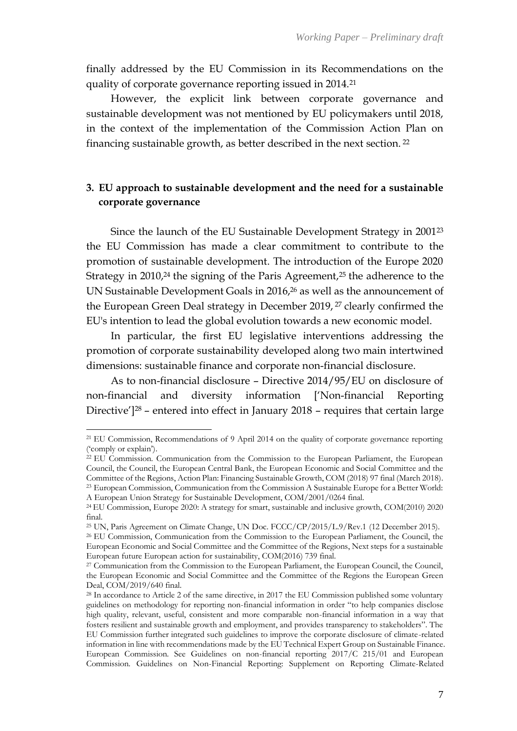finally addressed by the EU Commission in its Recommendations on the quality of corporate governance reporting issued in 2014.<sup>21</sup>

However, the explicit link between corporate governance and sustainable development was not mentioned by EU policymakers until 2018, in the context of the implementation of the Commission Action Plan on financing sustainable growth, as better described in the next section. <sup>22</sup>

# **3. EU approach to sustainable development and the need for a sustainable corporate governance**

Since the launch of the EU Sustainable Development Strategy in 2001<sup>23</sup> the EU Commission has made a clear commitment to contribute to the promotion of sustainable development. The introduction of the Europe 2020 Strategy in  $2010<sup>24</sup>$  the signing of the Paris Agreement,<sup>25</sup> the adherence to the UN Sustainable Development Goals in 2016,<sup>26</sup> as well as the announcement of the European Green Deal strategy in December 2019, <sup>27</sup> clearly confirmed the EU's intention to lead the global evolution towards a new economic model.

In particular, the first EU legislative interventions addressing the promotion of corporate sustainability developed along two main intertwined dimensions: sustainable finance and corporate non-financial disclosure.

As to non-financial disclosure – Directive 2014/95/EU on disclosure of non-financial and diversity information ['Non-financial Reporting Directive']<sup>28</sup> – entered into effect in January 2018 – requires that certain large

<sup>21</sup> EU Commission, Recommendations of 9 April 2014 on the quality of corporate governance reporting ('comply or explain').

<sup>22</sup> EU Commission. Communication from the Commission to the European Parliament, the European Council, the Council, the European Central Bank, the European Economic and Social Committee and the Committee of the Regions, Action Plan: Financing Sustainable Growth, COM (2018) 97 final (March 2018). <sup>23</sup> European Commission, Communication from the Commission A Sustainable Europe for a Better World: A European Union Strategy for Sustainable Development, COM/2001/0264 final.

<sup>24</sup> EU Commission, Europe 2020: A strategy for smart, sustainable and inclusive growth, COM(2010) 2020 final.

<sup>25</sup> UN, Paris Agreement on Climate Change, UN Doc. FCCC/CP/2015/L.9/Rev.1 (12 December 2015).

<sup>26</sup> EU Commission, Communication from the Commission to the European Parliament, the Council, the European Economic and Social Committee and the Committee of the Regions, Next steps for a sustainable European future European action for sustainability, COM(2016) 739 final.

<sup>&</sup>lt;sup>27</sup> Communication from the Commission to the European Parliament, the European Council, the Council, the European Economic and Social Committee and the Committee of the Regions the European Green Deal, COM/2019/640 final.

<sup>&</sup>lt;sup>28</sup> In accordance to Article 2 of the same directive, in 2017 the EU Commission published some voluntary guidelines on methodology for reporting non-financial information in order "to help companies disclose high quality, relevant, useful, consistent and more comparable non-financial information in a way that fosters resilient and sustainable growth and employment, and provides transparency to stakeholders". The EU Commission further integrated such guidelines to improve the corporate disclosure of climate-related information in line with recommendations made by the EU Technical Expert Group on Sustainable Finance. European Commission. See Guidelines on non-financial reporting 2017/C 215/01 and European Commission. Guidelines on Non-Financial Reporting: Supplement on Reporting Climate-Related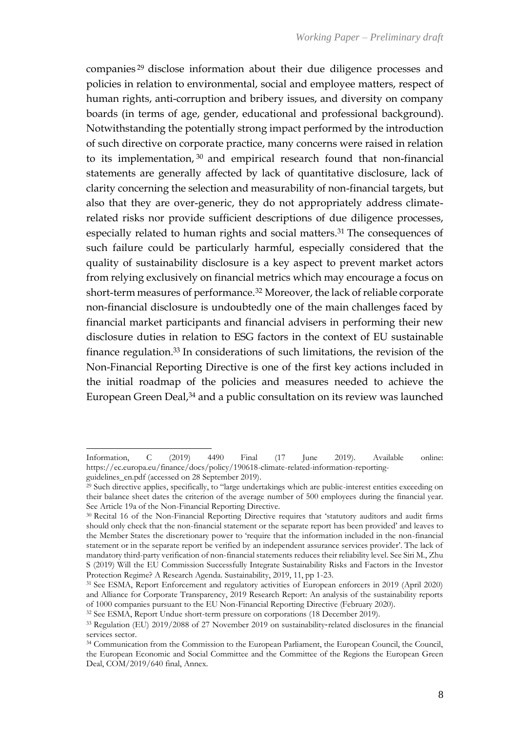companies <sup>29</sup> disclose information about their due diligence processes and policies in relation to environmental, social and employee matters, respect of human rights, anti-corruption and bribery issues, and diversity on company boards (in terms of age, gender, educational and professional background). Notwithstanding the potentially strong impact performed by the introduction of such directive on corporate practice, many concerns were raised in relation to its implementation, <sup>30</sup> and empirical research found that non-financial statements are generally affected by lack of quantitative disclosure, lack of clarity concerning the selection and measurability of non-financial targets, but also that they are over-generic, they do not appropriately address climaterelated risks nor provide sufficient descriptions of due diligence processes, especially related to human rights and social matters.<sup>31</sup> The consequences of such failure could be particularly harmful, especially considered that the quality of sustainability disclosure is a key aspect to prevent market actors from relying exclusively on financial metrics which may encourage a focus on short-term measures of performance.<sup>32</sup> Moreover, the lack of reliable corporate non-financial disclosure is undoubtedly one of the main challenges faced by financial market participants and financial advisers in performing their new disclosure duties in relation to ESG factors in the context of EU sustainable finance regulation.<sup>33</sup> In considerations of such limitations, the revision of the Non-Financial Reporting Directive is one of the first key actions included in the initial roadmap of the policies and measures needed to achieve the European Green Deal,<sup>34</sup> and a public consultation on its review was launched

Information, C (2019) 4490 Final (17 June 2019). Available online: [https://ec.europa.eu/finance/docs/policy/190618-climate-related-information-reporting](https://ec.europa.eu/finance/docs/policy/190618-climate-related-information-reporting-guidelines_en.pdf)[guidelines\\_en.pdf](https://ec.europa.eu/finance/docs/policy/190618-climate-related-information-reporting-guidelines_en.pdf) (accessed on 28 September 2019).

<sup>29</sup> Such directive applies, specifically, to "large undertakings which are public-interest entities exceeding on their balance sheet dates the criterion of the average number of 500 employees during the financial year. See Article 19a of the Non-Financial Reporting Directive.

<sup>30</sup> Recital 16 of the Non-Financial Reporting Directive requires that 'statutory auditors and audit firms should only check that the non-financial statement or the separate report has been provided' and leaves to the Member States the discretionary power to 'require that the information included in the non-financial statement or in the separate report be verified by an independent assurance services provider'. The lack of mandatory third-party verification of non-financial statements reduces their reliability level. See Siri M., Zhu S (2019) Will the EU Commission Successfully Integrate Sustainability Risks and Factors in the Investor Protection Regime? A Research Agenda. Sustainability, 2019, 11, pp 1-23.

<sup>31</sup> See ESMA, Report Enforcement and regulatory activities of European enforcers in 2019 (April 2020) and Alliance for Corporate Transparency, 2019 Research Report: An analysis of the sustainability reports of 1000 companies pursuant to the EU Non-Financial Reporting Directive (February 2020).

<sup>32</sup> See ESMA, Report Undue short-term pressure on corporations (18 December 2019).

<sup>33</sup> Regulation (EU) 2019/2088 of 27 November 2019 on sustainability-related disclosures in the financial services sector.

<sup>34</sup> Communication from the Commission to the European Parliament, the European Council, the Council, the European Economic and Social Committee and the Committee of the Regions the European Green Deal, COM/2019/640 final, Annex.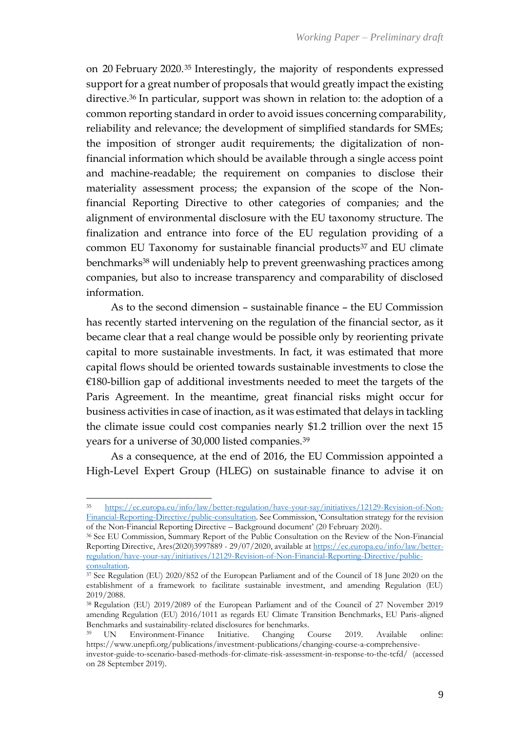on 20 February 2020.<sup>35</sup> Interestingly, the majority of respondents expressed support for a great number of proposals that would greatly impact the existing directive.<sup>36</sup> In particular, support was shown in relation to: the adoption of a common reporting standard in order to avoid issues concerning comparability, reliability and relevance; the development of simplified standards for SMEs; the imposition of stronger audit requirements; the digitalization of nonfinancial information which should be available through a single access point and machine-readable; the requirement on companies to disclose their materiality assessment process; the expansion of the scope of the Nonfinancial Reporting Directive to other categories of companies; and the alignment of environmental disclosure with the EU taxonomy structure. The finalization and entrance into force of the EU regulation providing of a common EU Taxonomy for sustainable financial products<sup>37</sup> and EU climate benchmarks<sup>38</sup> will undeniably help to prevent greenwashing practices among companies, but also to increase transparency and comparability of disclosed information.

As to the second dimension – sustainable finance – the EU Commission has recently started intervening on the regulation of the financial sector, as it became clear that a real change would be possible only by reorienting private capital to more sustainable investments. In fact, it was estimated that more capital flows should be oriented towards sustainable investments to close the €180-billion gap of additional investments needed to meet the targets of the Paris Agreement. In the meantime, great financial risks might occur for business activities in case of inaction, as it was estimated that delays in tackling the climate issue could cost companies nearly \$1.2 trillion over the next 15 years for a universe of 30,000 listed companies.<sup>39</sup>

As a consequence, at the end of 2016, the EU Commission appointed a High-Level Expert Group (HLEG) on sustainable finance to advise it on

<sup>35</sup> [https://ec.europa.eu/info/law/better-regulation/have-your-say/initiatives/12129-Revision-of-Non-](https://ec.europa.eu/info/law/better-regulation/have-your-say/initiatives/12129-Revision-of-Non-Financial-Reporting-Directive/public-consultation)[Financial-Reporting-Directive/public-consultation.](https://ec.europa.eu/info/law/better-regulation/have-your-say/initiatives/12129-Revision-of-Non-Financial-Reporting-Directive/public-consultation) See Commission, 'Consultation strategy for the revision of the Non-Financial Reporting Directive – Background document' (20 February 2020).

<sup>36</sup> See EU Commission, Summary Report of the Public Consultation on the Review of the Non-Financial Reporting Directive, Ares(2020)3997889 - 29/07/2020, available a[t https://ec.europa.eu/info/law/better](https://ec.europa.eu/info/law/better-regulation/have-your-say/initiatives/12129-Revision-of-Non-Financial-Reporting-Directive/public-consultation)[regulation/have-your-say/initiatives/12129-Revision-of-Non-Financial-Reporting-Directive/public](https://ec.europa.eu/info/law/better-regulation/have-your-say/initiatives/12129-Revision-of-Non-Financial-Reporting-Directive/public-consultation)[consultation.](https://ec.europa.eu/info/law/better-regulation/have-your-say/initiatives/12129-Revision-of-Non-Financial-Reporting-Directive/public-consultation)

<sup>37</sup> See Regulation (EU) 2020/852 of the European Parliament and of the Council of 18 June 2020 on the establishment of a framework to facilitate sustainable investment, and amending Regulation (EU) 2019/2088.

<sup>38</sup> Regulation (EU) 2019/2089 of the European Parliament and of the Council of 27 November 2019 amending Regulation (EU) 2016/1011 as regards EU Climate Transition Benchmarks, EU Paris-aligned Benchmarks and sustainability-related disclosures for benchmarks.

UN Environment-Finance Initiative. Changing Course 2019. Available online: https://www.unepfi.org/publications/investment-publications/changing-course-a-comprehensive-

investor-guide-to-scenario-based-methods-for-climate-risk-assessment-in-response-to-the-tcfd/ (accessed on 28 September 2019).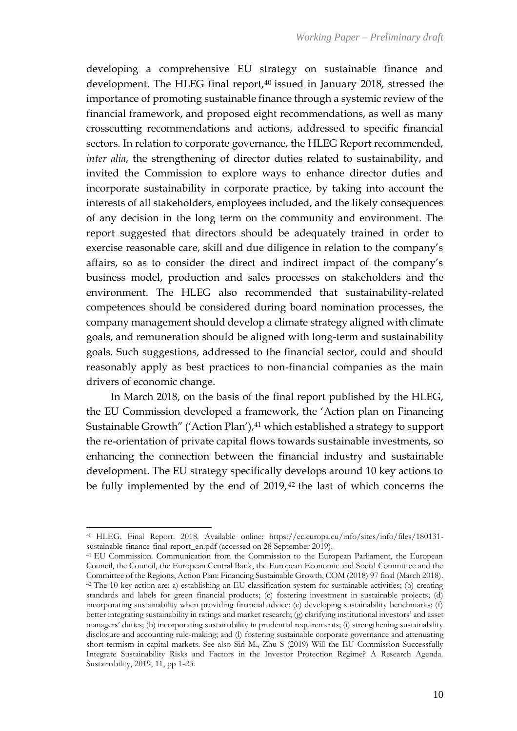developing a comprehensive EU strategy on sustainable finance and development. The HLEG final report,<sup>40</sup> issued in January 2018, stressed the importance of promoting sustainable finance through a systemic review of the financial framework, and proposed eight recommendations, as well as many crosscutting recommendations and actions, addressed to specific financial sectors. In relation to corporate governance, the HLEG Report recommended, *inter alia*, the strengthening of director duties related to sustainability, and invited the Commission to explore ways to enhance director duties and incorporate sustainability in corporate practice, by taking into account the interests of all stakeholders, employees included, and the likely consequences of any decision in the long term on the community and environment. The report suggested that directors should be adequately trained in order to exercise reasonable care, skill and due diligence in relation to the company's affairs, so as to consider the direct and indirect impact of the company's business model, production and sales processes on stakeholders and the environment. The HLEG also recommended that sustainability-related competences should be considered during board nomination processes, the company management should develop a climate strategy aligned with climate goals, and remuneration should be aligned with long-term and sustainability goals. Such suggestions, addressed to the financial sector, could and should reasonably apply as best practices to non-financial companies as the main drivers of economic change.

In March 2018, on the basis of the final report published by the HLEG, the EU Commission developed a framework, the 'Action plan on Financing Sustainable Growth" ('Action Plan'),<sup>41</sup> which established a strategy to support the re-orientation of private capital flows towards sustainable investments, so enhancing the connection between the financial industry and sustainable development. The EU strategy specifically develops around 10 key actions to be fully implemented by the end of 2019, <sup>42</sup> the last of which concerns the

<sup>40</sup> HLEG. Final Report. 2018. Available online: https://ec.europa.eu/info/sites/info/files/180131 sustainable-finance-final-report\_en.pdf (accessed on 28 September 2019).

<sup>41</sup> EU Commission. Communication from the Commission to the European Parliament, the European Council, the Council, the European Central Bank, the European Economic and Social Committee and the Committee of the Regions, Action Plan: Financing Sustainable Growth, COM (2018) 97 final (March 2018). <sup>42</sup> The 10 key action are: a) establishing an EU classification system for sustainable activities; (b) creating standards and labels for green financial products; (c) fostering investment in sustainable projects; (d) incorporating sustainability when providing financial advice; (e) developing sustainability benchmarks; (f) better integrating sustainability in ratings and market research; (g) clarifying institutional investors' and asset managers' duties; (h) incorporating sustainability in prudential requirements; (i) strengthening sustainability disclosure and accounting rule-making; and (l) fostering sustainable corporate governance and attenuating short-termism in capital markets. See also Siri M., Zhu S (2019) Will the EU Commission Successfully Integrate Sustainability Risks and Factors in the Investor Protection Regime? A Research Agenda. Sustainability, 2019, 11, pp 1-23.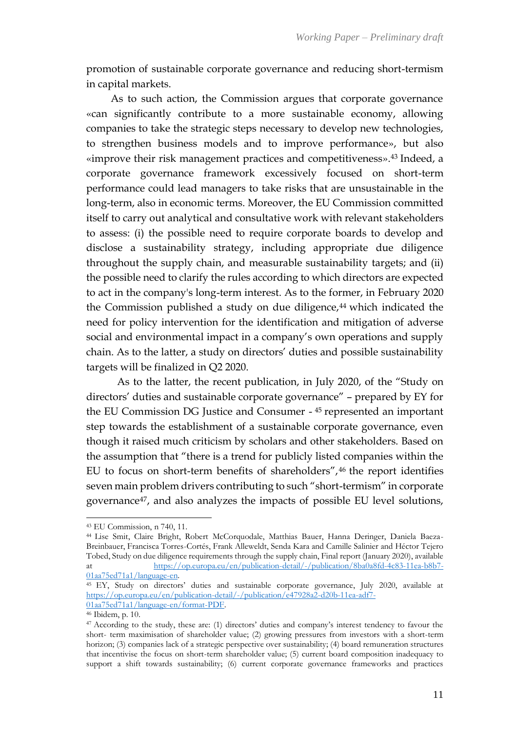promotion of sustainable corporate governance and reducing short-termism in capital markets.

As to such action, the Commission argues that corporate governance «can significantly contribute to a more sustainable economy, allowing companies to take the strategic steps necessary to develop new technologies, to strengthen business models and to improve performance», but also «improve their risk management practices and competitiveness». <sup>43</sup> Indeed, a corporate governance framework excessively focused on short-term performance could lead managers to take risks that are unsustainable in the long-term, also in economic terms. Moreover, the EU Commission committed itself to carry out analytical and consultative work with relevant stakeholders to assess: (i) the possible need to require corporate boards to develop and disclose a sustainability strategy, including appropriate due diligence throughout the supply chain, and measurable sustainability targets; and (ii) the possible need to clarify the rules according to which directors are expected to act in the company's long-term interest. As to the former, in February 2020 the Commission published a study on due diligence, $44$  which indicated the need for policy intervention for the identification and mitigation of adverse social and environmental impact in a company's own operations and supply chain. As to the latter, a study on directors' duties and possible sustainability targets will be finalized in Q2 2020.

As to the latter, the recent publication, in July 2020, of the "Study on directors' duties and sustainable corporate governance" – prepared by EY for the EU Commission DG Justice and Consumer - <sup>45</sup> represented an important step towards the establishment of a sustainable corporate governance, even though it raised much criticism by scholars and other stakeholders. Based on the assumption that "there is a trend for publicly listed companies within the EU to focus on short-term benefits of shareholders", 46 the report identifies seven main problem drivers contributing to such "short-termism" in corporate governance47, and also analyzes the impacts of possible EU level solutions,

<sup>43</sup> EU Commission, n 740, 11.

<sup>44</sup> Lise Smit, Claire Bright, Robert McCorquodale, Matthias Bauer, Hanna Deringer, Daniela Baeza-Breinbauer, Francisca Torres-Cortés, Frank Alleweldt, Senda Kara and Camille Salinier and Héctor Tejero Tobed, Study on due diligence requirements through the supply chain, Final report (January 2020), available at [https://op.europa.eu/en/publication-detail/-/publication/8ba0a8fd-4c83-11ea-b8b7-](https://op.europa.eu/en/publication-detail/-/publication/8ba0a8fd-4c83-11ea-b8b7-01aa75ed71a1/language-en) [01aa75ed71a1/language-en.](https://op.europa.eu/en/publication-detail/-/publication/8ba0a8fd-4c83-11ea-b8b7-01aa75ed71a1/language-en) 

<sup>45</sup> EY, Study on directors' duties and sustainable corporate governance, July 2020, available at [https://op.europa.eu/en/publication-detail/-/publication/e47928a2-d20b-11ea-adf7-](https://op.europa.eu/en/publication-detail/-/publication/e47928a2-d20b-11ea-adf7-01aa75ed71a1/language-en/format-PDF) [01aa75ed71a1/language-en/format-PDF.](https://op.europa.eu/en/publication-detail/-/publication/e47928a2-d20b-11ea-adf7-01aa75ed71a1/language-en/format-PDF)

<sup>46</sup> Ibidem, p. 10.

<sup>47</sup> According to the study, these are: (1) directors' duties and company's interest tendency to favour the short- term maximisation of shareholder value; (2) growing pressures from investors with a short-term horizon; (3) companies lack of a strategic perspective over sustainability; (4) board remuneration structures that incentivise the focus on short-term shareholder value; (5) current board composition inadequacy to support a shift towards sustainability; (6) current corporate governance frameworks and practices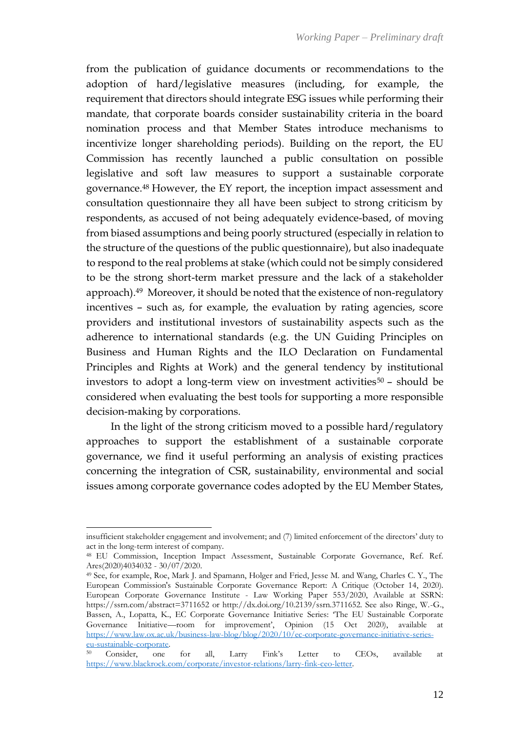from the publication of guidance documents or recommendations to the adoption of hard/legislative measures (including, for example, the requirement that directors should integrate ESG issues while performing their mandate, that corporate boards consider sustainability criteria in the board nomination process and that Member States introduce mechanisms to incentivize longer shareholding periods). Building on the report, the EU Commission has recently launched a public consultation on possible legislative and soft law measures to support a sustainable corporate governance.<sup>48</sup> However, the EY report, the inception impact assessment and consultation questionnaire they all have been subject to strong criticism by respondents, as accused of not being adequately evidence-based, of moving from biased assumptions and being poorly structured (especially in relation to the structure of the questions of the public questionnaire), but also inadequate to respond to the real problems at stake (which could not be simply considered to be the strong short-term market pressure and the lack of a stakeholder approach).49 Moreover, it should be noted that the existence of non-regulatory incentives – such as, for example, the evaluation by rating agencies, score providers and institutional investors of sustainability aspects such as the adherence to international standards (e.g. the UN Guiding Principles on Business and Human Rights and the ILO Declaration on Fundamental Principles and Rights at Work) and the general tendency by institutional investors to adopt a long-term view on investment activities $50$  – should be considered when evaluating the best tools for supporting a more responsible decision-making by corporations.

In the light of the strong criticism moved to a possible hard/regulatory approaches to support the establishment of a sustainable corporate governance, we find it useful performing an analysis of existing practices concerning the integration of CSR, sustainability, environmental and social issues among corporate governance codes adopted by the EU Member States,

insufficient stakeholder engagement and involvement; and (7) limited enforcement of the directors' duty to act in the long-term interest of company.

<sup>48</sup> EU Commission, Inception Impact Assessment, Sustainable Corporate Governance, Ref. Ref. Ares(2020)4034032 - 30/07/2020.

<sup>49</sup> See, for example, Roe, Mark J. and Spamann, Holger and Fried, Jesse M. and Wang, Charles C. Y., The European Commission's Sustainable Corporate Governance Report: A Critique (October 14, 2020). European Corporate Governance Institute - Law Working Paper 553/2020, Available at SSRN: https://ssrn.com/abstract=3711652 or http://dx.doi.org/10.2139/ssrn.3711652. See also Ringe, W.-G., Bassen, A., Lopatta, K., EC Corporate Governance Initiative Series: 'The EU Sustainable Corporate Governance Initiative—room for improvement', Opinion (15 Oct 2020), available at [https://www.law.ox.ac.uk/business-law-blog/blog/2020/10/ec-corporate-governance-initiative-series](https://www.law.ox.ac.uk/business-law-blog/blog/2020/10/ec-corporate-governance-initiative-series-eu-sustainable-corporate)[eu-sustainable-corporate.](https://www.law.ox.ac.uk/business-law-blog/blog/2020/10/ec-corporate-governance-initiative-series-eu-sustainable-corporate)

<sup>50</sup> Consider, one for all, Larry Fink's Letter to CEOs, available at [https://www.blackrock.com/corporate/investor-relations/larry-fink-ceo-letter.](https://www.blackrock.com/corporate/investor-relations/larry-fink-ceo-letter)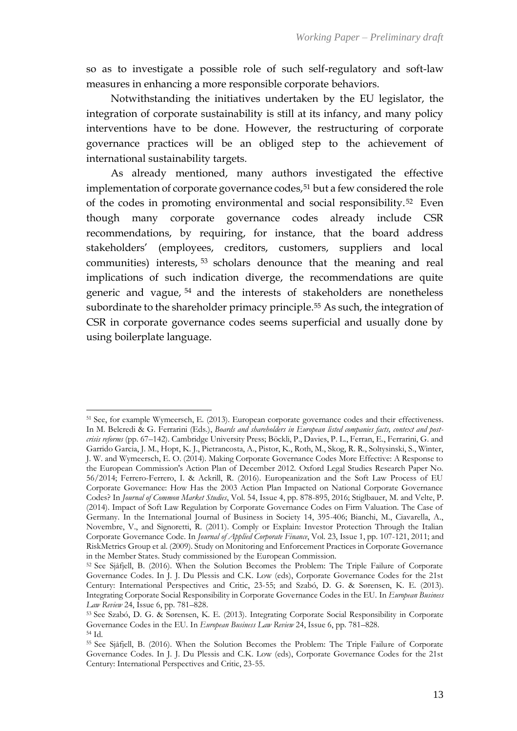so as to investigate a possible role of such self-regulatory and soft-law measures in enhancing a more responsible corporate behaviors.

Notwithstanding the initiatives undertaken by the EU legislator, the integration of corporate sustainability is still at its infancy, and many policy interventions have to be done. However, the restructuring of corporate governance practices will be an obliged step to the achievement of international sustainability targets.

As already mentioned, many authors investigated the effective implementation of corporate governance codes,<sup>51</sup> but a few considered the role of the codes in promoting environmental and social responsibility.<sup>52</sup> Even though many corporate governance codes already include CSR recommendations, by requiring, for instance, that the board address stakeholders' (employees, creditors, customers, suppliers and local communities) interests, <sup>53</sup> scholars denounce that the meaning and real implications of such indication diverge, the recommendations are quite generic and vague, <sup>54</sup> and the interests of stakeholders are nonetheless subordinate to the shareholder primacy principle.<sup>55</sup> As such, the integration of CSR in corporate governance codes seems superficial and usually done by using boilerplate language.

<sup>51</sup> See, for example Wymeersch, E. (2013). European corporate governance codes and their effectiveness. In M. Belcredi & G. Ferrarini (Eds.), *Boards and shareholders in European listed companies facts, context and postcrisis reforms* (pp. 67–142). Cambridge University Press; Böckli, P., Davies, P. L., Ferran, E., Ferrarini, G. and Garrido Garcia, J. M., Hopt, K. J., Pietrancosta, A., Pistor, K., Roth, M., Skog, R. R., Soltysinski, S., Winter, J. W. and Wymeersch, E. O. (2014). Making Corporate Governance Codes More Effective: A Response to the European Commission's Action Plan of December 2012. Oxford Legal Studies Research Paper No. 56/2014; Ferrero-Ferrero, I. & Ackrill, R. (2016). Europeanization and the Soft Law Process of EU Corporate Governance: How Has the 2003 Action Plan Impacted on National Corporate Governance Codes? In *Journal of Common Market Studies*, Vol. 54, Issue 4, pp. 878-895, 2016; Stiglbauer, M. and Velte, P. (2014). Impact of Soft Law Regulation by Corporate Governance Codes on Firm Valuation. The Case of Germany. In the International Journal of Business in Society 14, 395-406; Bianchi, M., Ciavarella, A., Novembre, V., and Signoretti, R. (2011). Comply or Explain: Investor Protection Through the Italian Corporate Governance Code. In *Journal of Applied Corporate Finance*, Vol. 23, Issue 1, pp. 107-121, 2011; and RiskMetrics Group et al. (2009). Study on Monitoring and Enforcement Practices in Corporate Governance in the Member States. Study commissioned by the European Commission.

<sup>52</sup> See Sjåfjell, B. (2016). When the Solution Becomes the Problem: The Triple Failure of Corporate Governance Codes. In J. J. Du Plessis and C.K. Low (eds), Corporate Governance Codes for the 21st Century: International Perspectives and Critic, 23-55; and Szabó, D. G. & Sørensen, K. E. (2013). Integrating Corporate Social Responsibility in Corporate Governance Codes in the EU. In *European Business Law Review* 24, Issue 6, pp. 781–828.

<sup>53</sup> See Szabó, D. G. & Sørensen, K. E. (2013). Integrating Corporate Social Responsibility in Corporate Governance Codes in the EU. In *European Business Law Review* 24, Issue 6, pp. 781–828. <sup>54</sup> Id.

<sup>55</sup> See Sjåfjell, B. (2016). When the Solution Becomes the Problem: The Triple Failure of Corporate Governance Codes. In J. J. Du Plessis and C.K. Low (eds), Corporate Governance Codes for the 21st Century: International Perspectives and Critic, 23-55.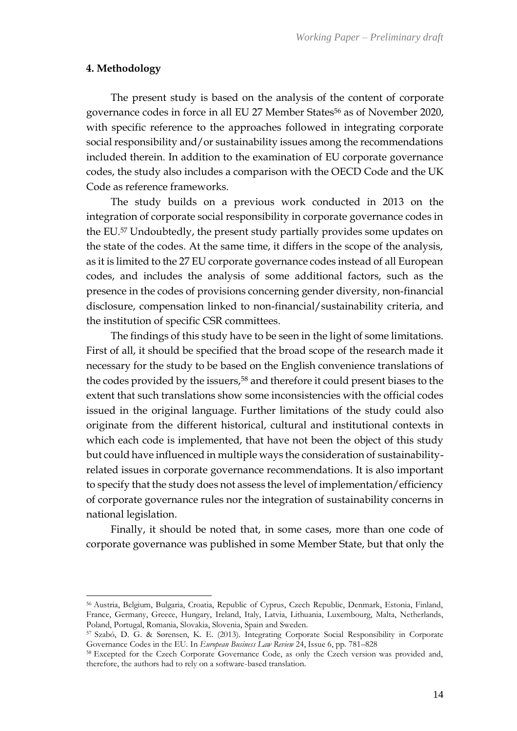#### **4. Methodology**

The present study is based on the analysis of the content of corporate governance codes in force in all EU 27 Member States<sup>56</sup> as of November 2020, with specific reference to the approaches followed in integrating corporate social responsibility and/or sustainability issues among the recommendations included therein. In addition to the examination of EU corporate governance codes, the study also includes a comparison with the OECD Code and the UK Code as reference frameworks.

The study builds on a previous work conducted in 2013 on the integration of corporate social responsibility in corporate governance codes in the EU. <sup>57</sup> Undoubtedly, the present study partially provides some updates on the state of the codes. At the same time, it differs in the scope of the analysis, as it is limited to the 27 EU corporate governance codes instead of all European codes, and includes the analysis of some additional factors, such as the presence in the codes of provisions concerning gender diversity, non-financial disclosure, compensation linked to non-financial/sustainability criteria, and the institution of specific CSR committees.

The findings of this study have to be seen in the light of some limitations. First of all, it should be specified that the broad scope of the research made it necessary for the study to be based on the English convenience translations of the codes provided by the issuers, <sup>58</sup> and therefore it could present biases to the extent that such translations show some inconsistencies with the official codes issued in the original language. Further limitations of the study could also originate from the different historical, cultural and institutional contexts in which each code is implemented, that have not been the object of this study but could have influenced in multiple ways the consideration of sustainabilityrelated issues in corporate governance recommendations. It is also important to specify that the study does not assess the level of implementation/efficiency of corporate governance rules nor the integration of sustainability concerns in national legislation.

Finally, it should be noted that, in some cases, more than one code of corporate governance was published in some Member State, but that only the

<sup>56</sup> Austria, Belgium, Bulgaria, Croatia, Republic of Cyprus, Czech Republic, Denmark, Estonia, Finland, France, Germany, Greece, Hungary, Ireland, Italy, Latvia, Lithuania, Luxembourg, Malta, Netherlands, Poland, Portugal, Romania, Slovakia, Slovenia, Spain and Sweden.

<sup>57</sup> Szabó, D. G. & Sørensen, K. E. (2013). Integrating Corporate Social Responsibility in Corporate Governance Codes in the EU. In *European Business Law Review* 24, Issue 6, pp. 781–828

<sup>58</sup> Excepted for the Czech Corporate Governance Code, as only the Czech version was provided and, therefore, the authors had to rely on a software-based translation.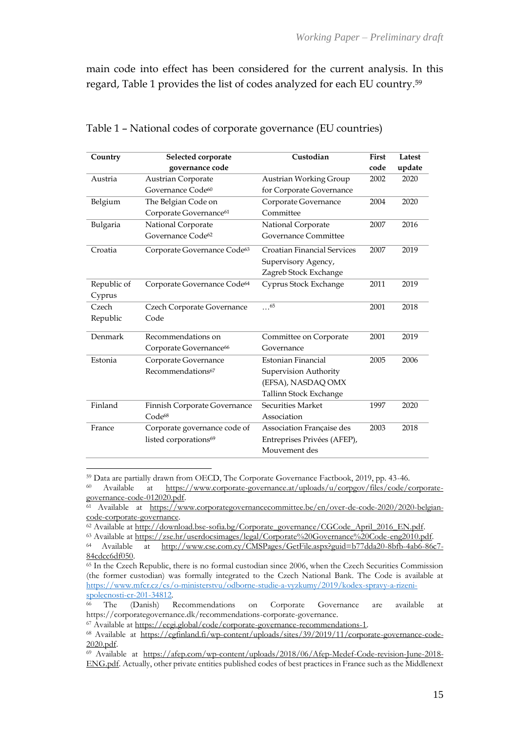main code into effect has been considered for the current analysis. In this regard, Table 1 provides the list of codes analyzed for each EU country. 59

| Country     | Selected corporate                      | Custodian                          | First | Latest |
|-------------|-----------------------------------------|------------------------------------|-------|--------|
|             | governance code                         |                                    | code  | update |
| Austria     | <b>Austrian Corporate</b>               | Austrian Working Group             | 2002  | 2020   |
|             | Governance Code <sup>60</sup>           | for Corporate Governance           |       |        |
| Belgium     | The Belgian Code on                     | Corporate Governance               | 2004  | 2020   |
|             | Corporate Governance <sup>61</sup>      | Committee                          |       |        |
| Bulgaria    | National Corporate                      | National Corporate                 | 2007  | 2016   |
|             | Governance Code <sup>62</sup>           | Governance Committee               |       |        |
| Croatia     | Corporate Governance Code <sup>63</sup> | <b>Croatian Financial Services</b> | 2007  | 2019   |
|             |                                         | Supervisory Agency,                |       |        |
|             |                                         | Zagreb Stock Exchange              |       |        |
| Republic of | Corporate Governance Code <sup>64</sup> | Cyprus Stock Exchange              | 2011  | 2019   |
| Cyprus      |                                         |                                    |       |        |
| Czech       | Czech Corporate Governance              | 65                                 | 2001  | 2018   |
| Republic    | Code                                    |                                    |       |        |
| Denmark     | Recommendations on                      | Committee on Corporate             | 2001  | 2019   |
|             | Corporate Governance <sup>66</sup>      | Governance                         |       |        |
| Estonia     | Corporate Governance                    | Estonian Financial                 | 2005  | 2006   |
|             | Recommendations <sup>67</sup>           | Supervision Authority              |       |        |
|             |                                         | (EFSA), NASDAQ OMX                 |       |        |
|             |                                         | Tallinn Stock Exchange             |       |        |
| Finland     | Finnish Corporate Governance            | Securities Market                  | 1997  | 2020   |
|             | Code <sup>68</sup>                      | Association                        |       |        |
| France      | Corporate governance code of            | Association Française des          | 2003  | 2018   |
|             | listed corporations <sup>69</sup>       | Entreprises Privées (AFEP),        |       |        |
|             |                                         | Mouvement des                      |       |        |

| Table 1 - National codes of corporate governance (EU countries) |  |  |
|-----------------------------------------------------------------|--|--|
|-----------------------------------------------------------------|--|--|

<sup>59</sup> Data are partially drawn from OECD, The Corporate Governance Factbook, 2019, pp. 43-46.

<sup>60</sup> Available at [https://www.corporate-governance.at/uploads/u/corpgov/files/code/corporate](https://www.corporate-governance.at/uploads/u/corpgov/files/code/corporate-governance-code-012020.pdf)[governance-code-012020.pdf.](https://www.corporate-governance.at/uploads/u/corpgov/files/code/corporate-governance-code-012020.pdf)

 $\frac{61}{61}$  Available at [https://www.corporategovernancecommittee.be/en/over-de-code-2020/2020-belgian](https://www.corporategovernancecommittee.be/en/over-de-code-2020/2020-belgian-code-corporate-governance)[code-corporate-governance.](https://www.corporategovernancecommittee.be/en/over-de-code-2020/2020-belgian-code-corporate-governance) 

<sup>&</sup>lt;sup>62</sup> Available at http://download.bse-sofia.bg/Corporate\_governance/CGCode\_April\_2016\_EN.pdf.

<sup>&</sup>lt;sup>63</sup> Available at [https://zse.hr/userdocsimages/legal/Corporate%20Governance%20Code-eng2010.pdf.](https://zse.hr/userdocsimages/legal/Corporate%20Governance%20Code-eng2010.pdf)<br><sup>64</sup> Available at http://www.cse.com.cv/CMSPages/GetFile.aspx?guid=b77dda20-8bfb-4ab6-86

at [http://www.cse.com.cy/CMSPages/GetFile.aspx?guid=b77dda20-8bfb-4ab6-86c7-](http://www.cse.com.cy/CMSPages/GetFile.aspx?guid=b77dda20-8bfb-4ab6-86c7-84cdcc6df050) [84cdcc6df050.](http://www.cse.com.cy/CMSPages/GetFile.aspx?guid=b77dda20-8bfb-4ab6-86c7-84cdcc6df050)

<sup>65</sup> In the Czech Republic, there is no formal custodian since 2006, when the Czech Securities Commission (the former custodian) was formally integrated to the Czech National Bank. The Code is available at [https://www.mfcr.cz/cs/o-ministerstvu/odborne-studie-a-vyzkumy/2019/kodex-spravy-a-rizeni-](https://www.mfcr.cz/cs/o-ministerstvu/odborne-studie-a-vyzkumy/2019/kodex-spravy-a-rizeni-spolecnosti-cr-201-34812) $s poleconsti-cr-201-34812.\n  
\n $\begin{array}{ccc}\n & \text{The} & \text{Onerich}\n \end{array}$$ </u>

<sup>66</sup> The (Danish) Recommendations on Corporate Governance are available at https://corporategovernance.dk/recommendations-corporate-governance.

<sup>67</sup> Available at [https://ecgi.global/code/corporate-governance-recommendations-1.](https://ecgi.global/code/corporate-governance-recommendations-1)

<sup>68</sup> Available at [https://cgfinland.fi/wp-content/uploads/sites/39/2019/11/corporate-governance-code-](https://cgfinland.fi/wp-content/uploads/sites/39/2019/11/corporate-governance-code-2020.pdf)[2020.pdf.](https://cgfinland.fi/wp-content/uploads/sites/39/2019/11/corporate-governance-code-2020.pdf)

<sup>69</sup> Available at [https://afep.com/wp-content/uploads/2018/06/Afep-Medef-Code-revision-June-2018-](https://afep.com/wp-content/uploads/2018/06/Afep-Medef-Code-revision-June-2018-ENG.pdf) [ENG.pdf.](https://afep.com/wp-content/uploads/2018/06/Afep-Medef-Code-revision-June-2018-ENG.pdf) Actually, other private entities published codes of best practices in France such as the Middlenext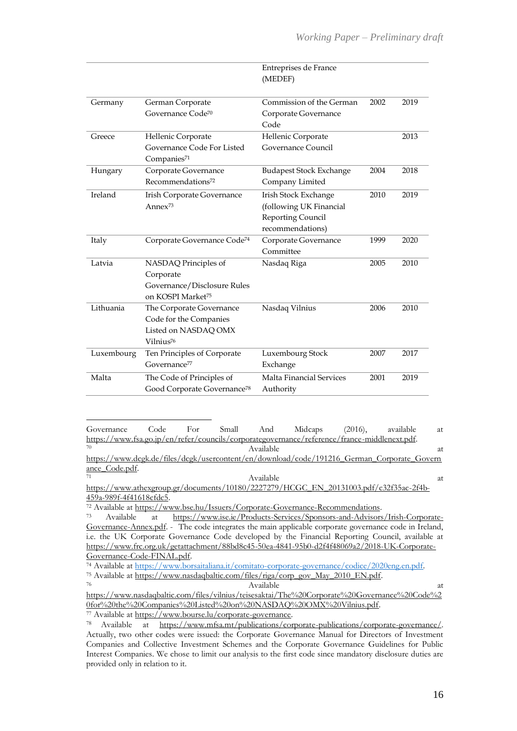|            |                                         | Entreprises de France<br>(MEDEF) |      |      |
|------------|-----------------------------------------|----------------------------------|------|------|
|            |                                         |                                  |      |      |
| Germany    | German Corporate                        | Commission of the German         | 2002 | 2019 |
|            | Governance Code <sup>70</sup>           | Corporate Governance             |      |      |
|            |                                         | Code                             |      |      |
| Greece     | Hellenic Corporate                      | Hellenic Corporate               |      | 2013 |
|            | Governance Code For Listed              | Governance Council               |      |      |
|            | Companies <sup>71</sup>                 |                                  |      |      |
| Hungary    | Corporate Governance                    | <b>Budapest Stock Exchange</b>   | 2004 | 2018 |
|            | Recommendations <sup>72</sup>           | Company Limited                  |      |      |
| Ireland    | Irish Corporate Governance              | Irish Stock Exchange             | 2010 | 2019 |
|            | Anne $x^{73}$                           | (following UK Financial          |      |      |
|            |                                         | Reporting Council                |      |      |
|            |                                         | recommendations)                 |      |      |
| Italy      | Corporate Governance Code <sup>74</sup> | Corporate Governance             | 1999 | 2020 |
|            |                                         | Committee                        |      |      |
| Latvia     | NASDAQ Principles of                    | Nasdaq Riga                      | 2005 | 2010 |
|            | Corporate                               |                                  |      |      |
|            | Governance/Disclosure Rules             |                                  |      |      |
|            | on KOSPI Market <sup>75</sup>           |                                  |      |      |
| Lithuania  | The Corporate Governance                | Nasdaq Vilnius                   | 2006 | 2010 |
|            | Code for the Companies                  |                                  |      |      |
|            | Listed on NASDAQ OMX                    |                                  |      |      |
|            | Vilnius <sup>76</sup>                   |                                  |      |      |
| Luxembourg | Ten Principles of Corporate             | Luxembourg Stock                 | 2007 | 2017 |
|            | Governance <sup>77</sup>                | Exchange                         |      |      |
| Malta      | The Code of Principles of               | Malta Financial Services         | 2001 | 2019 |
|            | Good Corporate Governance <sup>78</sup> | Authority                        |      |      |

Governance Code For Small And Midcaps (2016), available at [https://www.fsa.go.jp/en/refer/councils/corporategovernance/reference/france-middlenext.pdf.](https://www.fsa.go.jp/en/refer/councils/corporategovernance/reference/france-middlenext.pdf)

<sup>70</sup> Available at the attenuation of the set of the set of the set of the set of the set of the set of the set of the set of the set of the set of the set of the set of the set of the set of the set of the set of the set o [https://www.dcgk.de/files/dcgk/usercontent/en/download/code/191216\\_German\\_Corporate\\_Govern](https://www.dcgk.de/files/dcgk/usercontent/en/download/code/191216_German_Corporate_Governance_Code.pdf) [ance\\_Code.pdf.](https://www.dcgk.de/files/dcgk/usercontent/en/download/code/191216_German_Corporate_Governance_Code.pdf)

<sup>72</sup> Available at <u>https://www.bse.hu/Issuers/Corporate-Governance-Recommendations.</u><br><sup>73</sup> Available at https://www.jse.je/Products Services/Sponsors and Advisors

<sup>74</sup> Available at [https://www.borsaitaliana.it/comitato-corporate-governance/codice/2020eng.en.pdf.](https://www.borsaitaliana.it/comitato-corporate-governance/codice/2020eng.en.pdf)

<sup>75</sup> Available at [https://www.nasdaqbaltic.com/files/riga/corp\\_gov\\_May\\_2010\\_EN.pdf.](https://www.nasdaqbaltic.com/files/riga/corp_gov_May_2010_EN.pdf)<br>76

<sup>76</sup> Available at the Available at the set of  $\alpha$ [https://www.nasdaqbaltic.com/files/vilnius/teisesaktai/The%20Corporate%20Governance%20Code%2](https://www.nasdaqbaltic.com/files/vilnius/teisesaktai/The%20Corporate%20Governance%20Code%20for%20the%20Companies%20Listed%20on%20NASDAQ%20OMX%20Vilnius.pdf) [0for%20the%20Companies%20Listed%20on%20NASDAQ%20OMX%20Vilnius.pdf.](https://www.nasdaqbaltic.com/files/vilnius/teisesaktai/The%20Corporate%20Governance%20Code%20for%20the%20Companies%20Listed%20on%20NASDAQ%20OMX%20Vilnius.pdf) <sup>77</sup> Available at [https://www.bourse.lu/corporate-governance.](https://www.bourse.lu/corporate-governance)

<sup>71</sup> Available at [https://www.athexgroup.gr/documents/10180/2227279/HCGC\\_EN\\_20131003.pdf/c32f35ac-2f4b-](https://www.athexgroup.gr/documents/10180/2227279/HCGC_EN_20131003.pdf/c32f35ac-2f4b-459a-989f-4f41618cfdc5)[459a-989f-4f41618cfdc5.](https://www.athexgroup.gr/documents/10180/2227279/HCGC_EN_20131003.pdf/c32f35ac-2f4b-459a-989f-4f41618cfdc5)

<sup>73</sup> Available at [https://www.ise.ie/Products-Services/Sponsors-and-Advisors/Irish-Corporate-](https://www.ise.ie/Products-Services/Sponsors-and-Advisors/Irish-Corporate-Governance-Annex.pdf)[Governance-Annex.pdf.](https://www.ise.ie/Products-Services/Sponsors-and-Advisors/Irish-Corporate-Governance-Annex.pdf) - The code integrates the main applicable corporate governance code in Ireland, i.e. the UK Corporate Governance Code developed by the Financial Reporting Council, available at [https://www.frc.org.uk/getattachment/88bd8c45-50ea-4841-95b0-d2f4f48069a2/2018-UK-Corporate-](https://www.frc.org.uk/getattachment/88bd8c45-50ea-4841-95b0-d2f4f48069a2/2018-UK-Corporate-Governance-Code-FINAL.pdf)[Governance-Code-FINAL.pdf.](https://www.frc.org.uk/getattachment/88bd8c45-50ea-4841-95b0-d2f4f48069a2/2018-UK-Corporate-Governance-Code-FINAL.pdf)

<sup>78</sup> Available at [https://www.mfsa.mt/publications/corporate-publications/corporate-governance/.](https://www.mfsa.mt/publications/corporate-publications/corporate-governance/) Actually, two other codes were issued: the Corporate Governance Manual for Directors of Investment Companies and Collective Investment Schemes and the Corporate Governance Guidelines for Public Interest Companies. We chose to limit our analysis to the first code since mandatory disclosure duties are provided only in relation to it.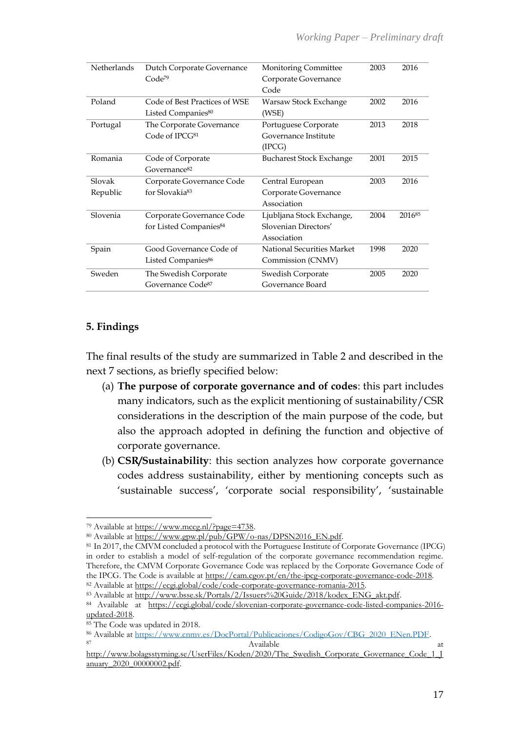| Netherlands | Dutch Corporate Governance         | Monitoring Committee            | 2003 | 2016   |
|-------------|------------------------------------|---------------------------------|------|--------|
|             | Code <sup>79</sup>                 | Corporate Governance            |      |        |
|             |                                    | Code                            |      |        |
| Poland      | Code of Best Practices of WSE      | Warsaw Stock Exchange           | 2002 | 2016   |
|             | Listed Companies <sup>80</sup>     | (WSE)                           |      |        |
| Portugal    | The Corporate Governance           | Portuguese Corporate            | 2013 | 2018   |
|             | Code of IPCG <sup>81</sup>         | Governance Institute            |      |        |
|             |                                    | (IPCG)                          |      |        |
| Romania     | Code of Corporate                  | <b>Bucharest Stock Exchange</b> | 2001 | 2015   |
|             | Governance <sup>82</sup>           |                                 |      |        |
| Slovak      | Corporate Governance Code          | Central European                | 2003 | 2016   |
| Republic    | for Slovakia <sup>83</sup>         | Corporate Governance            |      |        |
|             |                                    | Association                     |      |        |
| Slovenia    | Corporate Governance Code          | Ljubljana Stock Exchange,       | 2004 | 201685 |
|             | for Listed Companies <sup>84</sup> | Slovenian Directors'            |      |        |
|             |                                    | Association                     |      |        |
| Spain       | Good Governance Code of            | National Securities Market      | 1998 | 2020   |
|             | Listed Companies <sup>86</sup>     | Commission (CNMV)               |      |        |
| Sweden      | The Swedish Corporate              | Swedish Corporate               | 2005 | 2020   |
|             | Governance Code <sup>87</sup>      | Governance Board                |      |        |
|             |                                    |                                 |      |        |

# **5. Findings**

The final results of the study are summarized in Table 2 and described in the next 7 sections, as briefly specified below:

- (a) **The purpose of corporate governance and of codes**: this part includes many indicators, such as the explicit mentioning of sustainability/CSR considerations in the description of the main purpose of the code, but also the approach adopted in defining the function and objective of corporate governance.
- (b) **CSR/Sustainability**: this section analyzes how corporate governance codes address sustainability, either by mentioning concepts such as 'sustainable success', 'corporate social responsibility', 'sustainable

<sup>79</sup> Available at [https://www.mccg.nl/?page=4738.](https://www.mccg.nl/?page=4738)

<sup>80</sup> Available at [https://www.gpw.pl/pub/GPW/o-nas/DPSN2016\\_EN.pdf.](https://www.gpw.pl/pub/GPW/o-nas/DPSN2016_EN.pdf)

<sup>81</sup> In 2017, the CMVM concluded a protocol with the Portuguese Institute of Corporate Governance (IPCG) in order to establish a model of self-regulation of the corporate governance recommendation regime. Therefore, the CMVM Corporate Governance Code was replaced by the Corporate Governance Code of the IPCG. The Code is available at [https://cam.cgov.pt/en/the-ipcg-corporate-governance-code-2018.](https://cam.cgov.pt/en/the-ipcg-corporate-governance-code-2018) <sup>82</sup> Available at [https://ecgi.global/code/code-corporate-governance-romania-2015.](https://ecgi.global/code/code-corporate-governance-romania-2015) 

<sup>83</sup> Available at [http://www.bsse.sk/Portals/2/Issuers%20Guide/2018/kodex\\_ENG\\_akt.pdf.](http://www.bsse.sk/Portals/2/Issuers%20Guide/2018/kodex_ENG_akt.pdf)

<sup>84</sup> Available at [https://ecgi.global/code/slovenian-corporate-governance-code-listed-companies-2016](https://ecgi.global/code/slovenian-corporate-governance-code-listed-companies-2016-updated-2018) [updated-2018.](https://ecgi.global/code/slovenian-corporate-governance-code-listed-companies-2016-updated-2018) 

<sup>&</sup>lt;sup>85</sup> The Code was updated in 2018.

<sup>86</sup> Available at [https://www.cnmv.es/DocPortal/Publicaciones/CodigoGov/CBG\\_2020\\_ENen.PDF.](https://www.cnmv.es/DocPortal/Publicaciones/CodigoGov/CBG_2020_ENen.PDF) 87 and 2008 and 2008 and 2008 and 2008 and 2008 and 2008 and 2008 and 2008 and 2008 and 2008 and 2008 and 2008 and 2008 and 2008 and 2008 and 2008 and 2008 and 2008 and 2008 and 2008 and 2008 and 2008 and 2008 and 2008 and

http://www.bolagsstyrning.se/UserFiles/Koden/2020/The Swedish Corporate Governance Code 1 J [anuary\\_2020\\_00000002.pdf.](http://www.bolagsstyrning.se/UserFiles/Koden/2020/The_Swedish_Corporate_Governance_Code_1_January_2020_00000002.pdf)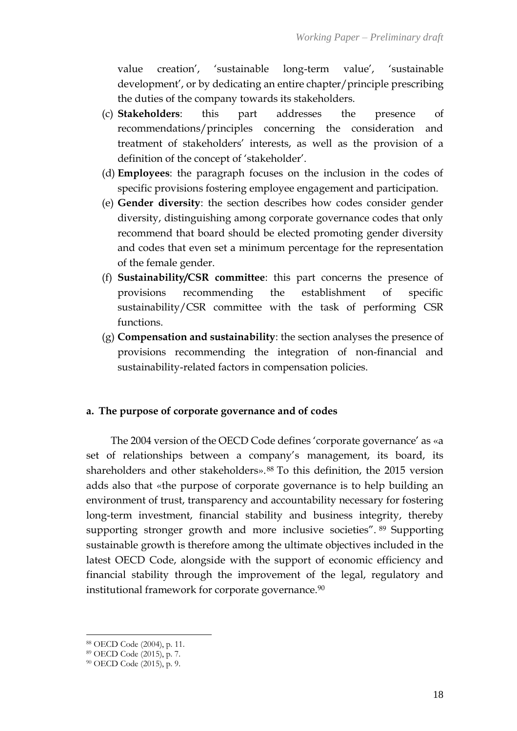value creation', 'sustainable long-term value', 'sustainable development', or by dedicating an entire chapter/principle prescribing the duties of the company towards its stakeholders.

- (c) **Stakeholders**: this part addresses the presence of recommendations/principles concerning the consideration and treatment of stakeholders' interests, as well as the provision of a definition of the concept of 'stakeholder'.
- (d) **Employees**: the paragraph focuses on the inclusion in the codes of specific provisions fostering employee engagement and participation.
- (e) **Gender diversity**: the section describes how codes consider gender diversity, distinguishing among corporate governance codes that only recommend that board should be elected promoting gender diversity and codes that even set a minimum percentage for the representation of the female gender.
- (f) **Sustainability/CSR committee**: this part concerns the presence of provisions recommending the establishment of specific sustainability/CSR committee with the task of performing CSR functions.
- (g) **Compensation and sustainability**: the section analyses the presence of provisions recommending the integration of non-financial and sustainability-related factors in compensation policies.

# **a. The purpose of corporate governance and of codes**

The 2004 version of the OECD Code defines 'corporate governance' as «a set of relationships between a company's management, its board, its shareholders and other stakeholders».<sup>88</sup> To this definition, the 2015 version adds also that «the purpose of corporate governance is to help building an environment of trust, transparency and accountability necessary for fostering long-term investment, financial stability and business integrity, thereby supporting stronger growth and more inclusive societies". <sup>89</sup> Supporting sustainable growth is therefore among the ultimate objectives included in the latest OECD Code, alongside with the support of economic efficiency and financial stability through the improvement of the legal, regulatory and institutional framework for corporate governance.<sup>90</sup>

<sup>88</sup> OECD Code (2004), p. 11.

<sup>89</sup> OECD Code (2015), p. 7.

<sup>90</sup> OECD Code (2015), p. 9.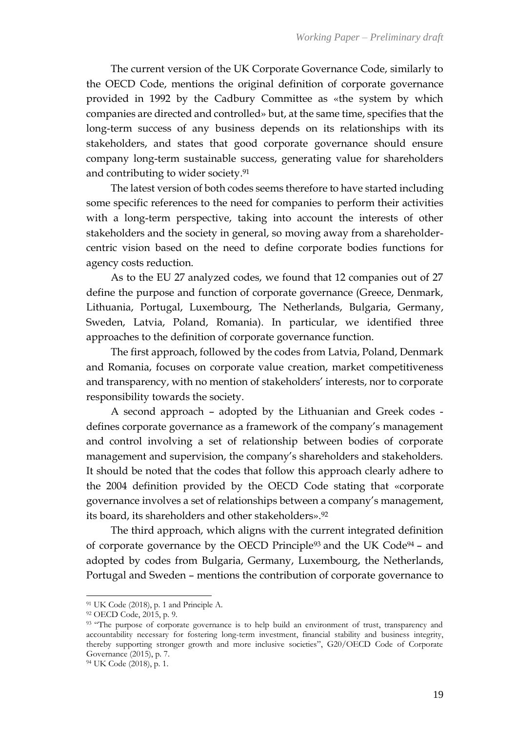The current version of the UK Corporate Governance Code, similarly to the OECD Code, mentions the original definition of corporate governance provided in 1992 by the Cadbury Committee as «the system by which companies are directed and controlled» but, at the same time, specifies that the long-term success of any business depends on its relationships with its stakeholders, and states that good corporate governance should ensure company long-term sustainable success, generating value for shareholders and contributing to wider society. 91

The latest version of both codes seems therefore to have started including some specific references to the need for companies to perform their activities with a long-term perspective, taking into account the interests of other stakeholders and the society in general, so moving away from a shareholdercentric vision based on the need to define corporate bodies functions for agency costs reduction.

As to the EU 27 analyzed codes, we found that 12 companies out of 27 define the purpose and function of corporate governance (Greece, Denmark, Lithuania, Portugal, Luxembourg, The Netherlands, Bulgaria, Germany, Sweden, Latvia, Poland, Romania). In particular, we identified three approaches to the definition of corporate governance function.

The first approach, followed by the codes from Latvia, Poland, Denmark and Romania, focuses on corporate value creation, market competitiveness and transparency, with no mention of stakeholders' interests, nor to corporate responsibility towards the society.

A second approach – adopted by the Lithuanian and Greek codes defines corporate governance as a framework of the company's management and control involving a set of relationship between bodies of corporate management and supervision, the company's shareholders and stakeholders. It should be noted that the codes that follow this approach clearly adhere to the 2004 definition provided by the OECD Code stating that «corporate governance involves a set of relationships between a company's management, its board, its shareholders and other stakeholders». 92

The third approach, which aligns with the current integrated definition of corporate governance by the OECD Principle<sup>93</sup> and the UK Code<sup>94</sup> – and adopted by codes from Bulgaria, Germany, Luxembourg, the Netherlands, Portugal and Sweden – mentions the contribution of corporate governance to

<sup>91</sup> UK Code (2018), p. 1 and Principle A.

<sup>92</sup> OECD Code, 2015, p. 9.

<sup>&</sup>lt;sup>93</sup> "The purpose of corporate governance is to help build an environment of trust, transparency and accountability necessary for fostering long-term investment, financial stability and business integrity, thereby supporting stronger growth and more inclusive societies", G20/OECD Code of Corporate Governance (2015), p. 7.

<sup>94</sup> UK Code (2018), p. 1.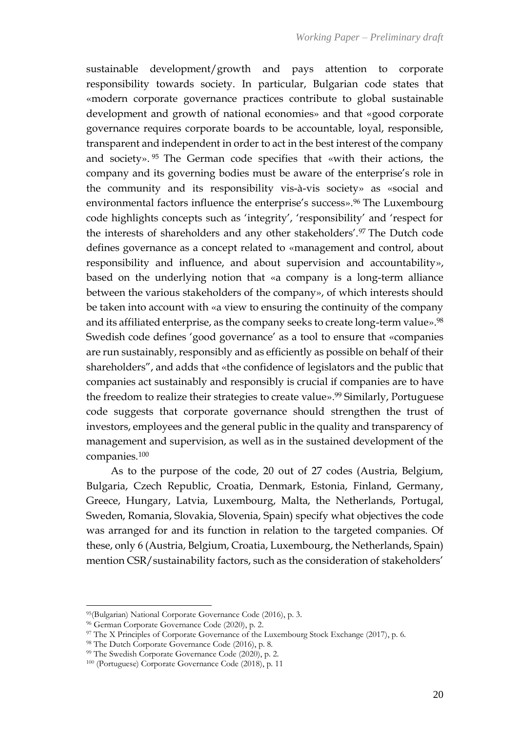sustainable development/growth and pays attention to corporate responsibility towards society. In particular, Bulgarian code states that «modern corporate governance practices contribute to global sustainable development and growth of national economies» and that «good corporate governance requires corporate boards to be accountable, loyal, responsible, transparent and independent in order to act in the best interest of the company and society». <sup>95</sup> The German code specifies that «with their actions, the company and its governing bodies must be aware of the enterprise's role in the community and its responsibility vis-à-vis society» as «social and environmental factors influence the enterprise's success». <sup>96</sup> The Luxembourg code highlights concepts such as 'integrity', 'responsibility' and 'respect for the interests of shareholders and any other stakeholders'.<sup>97</sup> The Dutch code defines governance as a concept related to «management and control, about responsibility and influence, and about supervision and accountability», based on the underlying notion that «a company is a long-term alliance between the various stakeholders of the company», of which interests should be taken into account with «a view to ensuring the continuity of the company and its affiliated enterprise, as the company seeks to create long-term value». 98 Swedish code defines 'good governance' as a tool to ensure that «companies are run sustainably, responsibly and as efficiently as possible on behalf of their shareholders", and adds that «the confidence of legislators and the public that companies act sustainably and responsibly is crucial if companies are to have the freedom to realize their strategies to create value». <sup>99</sup> Similarly, Portuguese code suggests that corporate governance should strengthen the trust of investors, employees and the general public in the quality and transparency of management and supervision, as well as in the sustained development of the companies.<sup>100</sup>

As to the purpose of the code, 20 out of 27 codes (Austria, Belgium, Bulgaria, Czech Republic, Croatia, Denmark, Estonia, Finland, Germany, Greece, Hungary, Latvia, Luxembourg, Malta, the Netherlands, Portugal, Sweden, Romania, Slovakia, Slovenia, Spain) specify what objectives the code was arranged for and its function in relation to the targeted companies. Of these, only 6 (Austria, Belgium, Croatia, Luxembourg, the Netherlands, Spain) mention CSR/sustainability factors, such as the consideration of stakeholders'

<sup>95</sup>(Bulgarian) National Corporate Governance Code (2016), p. 3.

<sup>96</sup> German Corporate Governance Code (2020), p. 2.

<sup>97</sup> The X Principles of Corporate Governance of the Luxembourg Stock Exchange (2017), p. 6.

<sup>98</sup> The Dutch Corporate Governance Code (2016), p. 8.

<sup>99</sup> The Swedish Corporate Governance Code (2020), p. 2.

<sup>100</sup> (Portuguese) Corporate Governance Code (2018), p. 11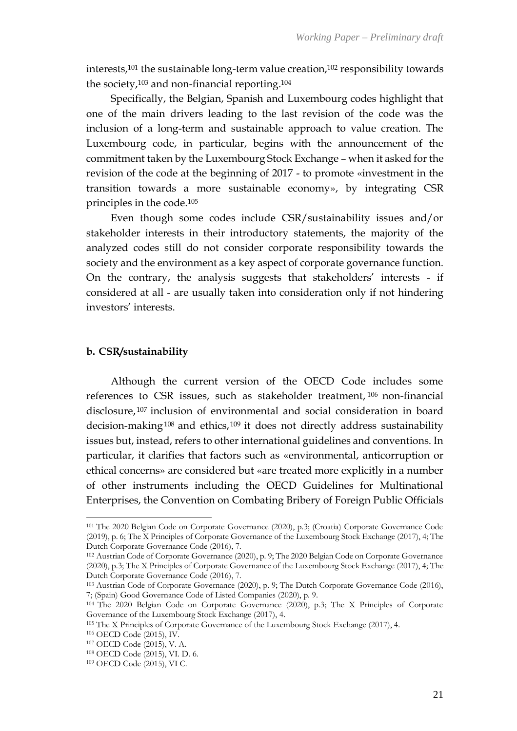interests,<sup>101</sup> the sustainable long-term value creation,<sup>102</sup> responsibility towards the society,<sup>103</sup> and non-financial reporting.<sup>104</sup>

Specifically, the Belgian, Spanish and Luxembourg codes highlight that one of the main drivers leading to the last revision of the code was the inclusion of a long-term and sustainable approach to value creation. The Luxembourg code, in particular, begins with the announcement of the commitment taken by the Luxembourg Stock Exchange – when it asked for the revision of the code at the beginning of 2017 - to promote «investment in the transition towards a more sustainable economy», by integrating CSR principles in the code.<sup>105</sup>

Even though some codes include CSR/sustainability issues and/or stakeholder interests in their introductory statements, the majority of the analyzed codes still do not consider corporate responsibility towards the society and the environment as a key aspect of corporate governance function. On the contrary, the analysis suggests that stakeholders' interests - if considered at all - are usually taken into consideration only if not hindering investors' interests.

#### **b. CSR/sustainability**

Although the current version of the OECD Code includes some references to CSR issues, such as stakeholder treatment, <sup>106</sup> non-financial disclosure, <sup>107</sup> inclusion of environmental and social consideration in board decision-making<sup>108</sup> and ethics,<sup>109</sup> it does not directly address sustainability issues but, instead, refers to other international guidelines and conventions. In particular, it clarifies that factors such as «environmental, anticorruption or ethical concerns» are considered but «are treated more explicitly in a number of other instruments including the OECD Guidelines for Multinational Enterprises, the Convention on Combating Bribery of Foreign Public Officials

<sup>101</sup> The 2020 Belgian Code on Corporate Governance (2020), p.3; (Croatia) Corporate Governance Code (2019), p. 6; The X Principles of Corporate Governance of the Luxembourg Stock Exchange (2017), 4; The Dutch Corporate Governance Code (2016), 7.

<sup>102</sup> Austrian Code of Corporate Governance (2020), p. 9; The 2020 Belgian Code on Corporate Governance (2020), p.3; The X Principles of Corporate Governance of the Luxembourg Stock Exchange (2017), 4; The Dutch Corporate Governance Code (2016), 7.

<sup>103</sup> Austrian Code of Corporate Governance (2020), p. 9; The Dutch Corporate Governance Code (2016), 7; (Spain) Good Governance Code of Listed Companies (2020), p. 9.

<sup>104</sup> The 2020 Belgian Code on Corporate Governance (2020), p.3; The X Principles of Corporate Governance of the Luxembourg Stock Exchange (2017), 4.

<sup>105</sup> The X Principles of Corporate Governance of the Luxembourg Stock Exchange (2017), 4.

<sup>106</sup> OECD Code (2015), IV.

<sup>107</sup> OECD Code (2015), V. A.

<sup>108</sup> OECD Code (2015), VI. D. 6.

<sup>109</sup> OECD Code (2015), VI C.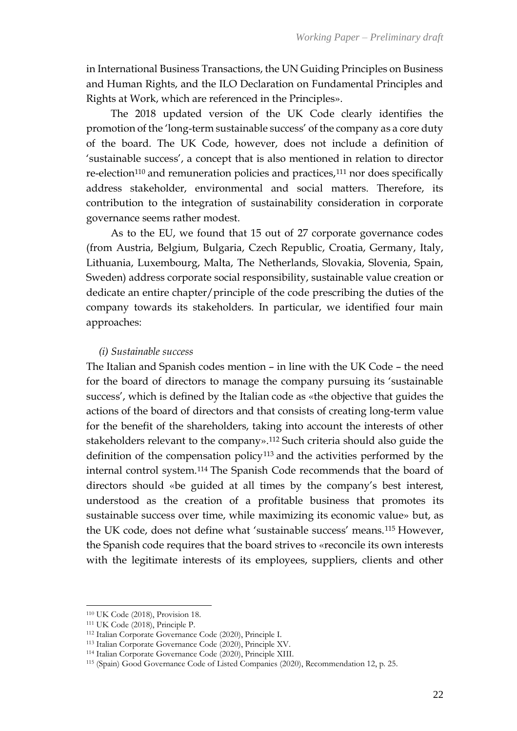in International Business Transactions, the UN Guiding Principles on Business and Human Rights, and the ILO Declaration on Fundamental Principles and Rights at Work, which are referenced in the Principles».

The 2018 updated version of the UK Code clearly identifies the promotion of the 'long-term sustainable success' of the company as a core duty of the board. The UK Code, however, does not include a definition of 'sustainable success', a concept that is also mentioned in relation to director re-election<sup>110</sup> and remuneration policies and practices,<sup>111</sup> nor does specifically address stakeholder, environmental and social matters. Therefore, its contribution to the integration of sustainability consideration in corporate governance seems rather modest.

As to the EU, we found that 15 out of 27 corporate governance codes (from Austria, Belgium, Bulgaria, Czech Republic, Croatia, Germany, Italy, Lithuania, Luxembourg, Malta, The Netherlands, Slovakia, Slovenia, Spain, Sweden) address corporate social responsibility, sustainable value creation or dedicate an entire chapter/principle of the code prescribing the duties of the company towards its stakeholders. In particular, we identified four main approaches:

#### *(i) Sustainable success*

The Italian and Spanish codes mention – in line with the UK Code – the need for the board of directors to manage the company pursuing its 'sustainable success', which is defined by the Italian code as «the objective that guides the actions of the board of directors and that consists of creating long-term value for the benefit of the shareholders, taking into account the interests of other stakeholders relevant to the company».<sup>112</sup> Such criteria should also guide the definition of the compensation policy<sup>113</sup> and the activities performed by the internal control system.<sup>114</sup> The Spanish Code recommends that the board of directors should «be guided at all times by the company's best interest, understood as the creation of a profitable business that promotes its sustainable success over time, while maximizing its economic value» but, as the UK code, does not define what 'sustainable success' means.<sup>115</sup> However, the Spanish code requires that the board strives to «reconcile its own interests with the legitimate interests of its employees, suppliers, clients and other

<sup>110</sup> UK Code (2018), Provision 18.

<sup>111</sup> UK Code (2018), Principle P.

<sup>112</sup> Italian Corporate Governance Code (2020), Principle I.

<sup>113</sup> Italian Corporate Governance Code (2020), Principle XV.

<sup>114</sup> Italian Corporate Governance Code (2020), Principle XIII.

<sup>115</sup> (Spain) Good Governance Code of Listed Companies (2020), Recommendation 12, p. 25.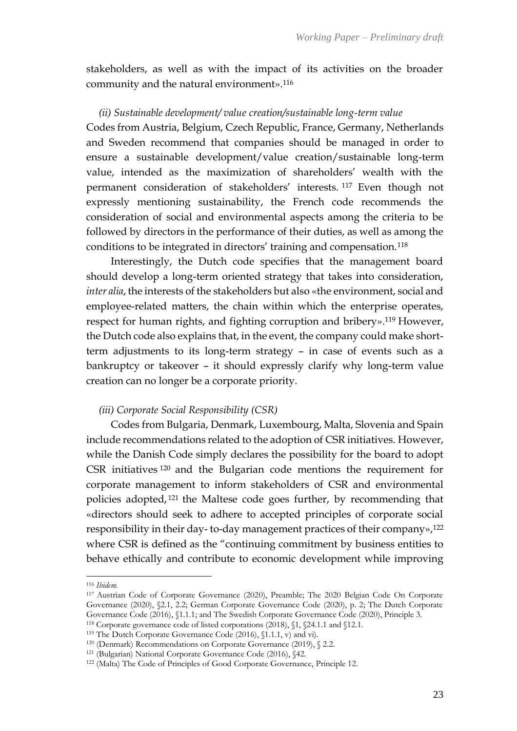stakeholders, as well as with the impact of its activities on the broader community and the natural environment».<sup>116</sup>

#### *(ii) Sustainable development/ value creation/sustainable long-term value*

Codes from Austria, Belgium, Czech Republic, France, Germany, Netherlands and Sweden recommend that companies should be managed in order to ensure a sustainable development/value creation/sustainable long-term value, intended as the maximization of shareholders' wealth with the permanent consideration of stakeholders' interests. <sup>117</sup> Even though not expressly mentioning sustainability, the French code recommends the consideration of social and environmental aspects among the criteria to be followed by directors in the performance of their duties, as well as among the conditions to be integrated in directors' training and compensation.<sup>118</sup>

Interestingly, the Dutch code specifies that the management board should develop a long-term oriented strategy that takes into consideration, *inter alia*, the interests of the stakeholders but also «the environment, social and employee-related matters, the chain within which the enterprise operates, respect for human rights, and fighting corruption and bribery».<sup>119</sup> However, the Dutch code also explains that, in the event, the company could make shortterm adjustments to its long-term strategy – in case of events such as a bankruptcy or takeover – it should expressly clarify why long-term value creation can no longer be a corporate priority.

#### *(iii) Corporate Social Responsibility (CSR)*

Codes from Bulgaria, Denmark, Luxembourg, Malta, Slovenia and Spain include recommendations related to the adoption of CSR initiatives. However, while the Danish Code simply declares the possibility for the board to adopt CSR initiatives <sup>120</sup> and the Bulgarian code mentions the requirement for corporate management to inform stakeholders of CSR and environmental policies adopted, <sup>121</sup> the Maltese code goes further, by recommending that «directors should seek to adhere to accepted principles of corporate social responsibility in their day- to-day management practices of their company»,<sup>122</sup> where CSR is defined as the "continuing commitment by business entities to behave ethically and contribute to economic development while improving

<sup>116</sup> *Ibidem.*

<sup>117</sup> Austrian Code of Corporate Governance (2020), Preamble; The 2020 Belgian Code On Corporate Governance (2020), §2.1, 2.2; German Corporate Governance Code (2020), p. 2; The Dutch Corporate Governance Code (2016), §1.1.1; and The Swedish Corporate Governance Code (2020), Principle 3.

<sup>118</sup> Corporate governance code of listed corporations (2018), §1, §24.1.1 and §12.1.

<sup>119</sup> The Dutch Corporate Governance Code (2016), §1.1.1, v) and vi).

<sup>120</sup> (Denmark) Recommendations on Corporate Governance (2019), § 2.2.

<sup>121</sup> (Bulgarian) National Corporate Governance Code (2016), §42.

<sup>122</sup> (Malta) The Code of Principles of Good Corporate Governance, Principle 12.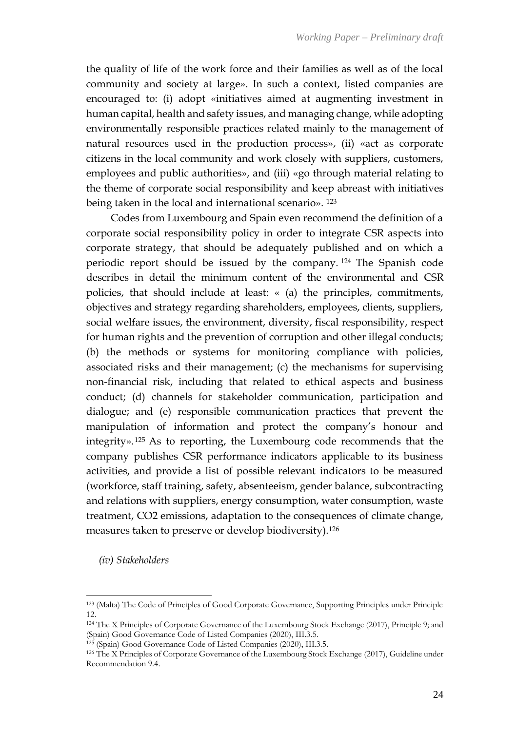the quality of life of the work force and their families as well as of the local community and society at large». In such a context, listed companies are encouraged to: (i) adopt «initiatives aimed at augmenting investment in human capital, health and safety issues, and managing change, while adopting environmentally responsible practices related mainly to the management of natural resources used in the production process», (ii) «act as corporate citizens in the local community and work closely with suppliers, customers, employees and public authorities», and (iii) «go through material relating to the theme of corporate social responsibility and keep abreast with initiatives being taken in the local and international scenario». <sup>123</sup>

Codes from Luxembourg and Spain even recommend the definition of a corporate social responsibility policy in order to integrate CSR aspects into corporate strategy, that should be adequately published and on which a periodic report should be issued by the company. <sup>124</sup> The Spanish code describes in detail the minimum content of the environmental and CSR policies, that should include at least: « (a) the principles, commitments, objectives and strategy regarding shareholders, employees, clients, suppliers, social welfare issues, the environment, diversity, fiscal responsibility, respect for human rights and the prevention of corruption and other illegal conducts; (b) the methods or systems for monitoring compliance with policies, associated risks and their management; (c) the mechanisms for supervising non-financial risk, including that related to ethical aspects and business conduct; (d) channels for stakeholder communication, participation and dialogue; and (e) responsible communication practices that prevent the manipulation of information and protect the company's honour and integrity». <sup>125</sup> As to reporting, the Luxembourg code recommends that the company publishes CSR performance indicators applicable to its business activities, and provide a list of possible relevant indicators to be measured (workforce, staff training, safety, absenteeism, gender balance, subcontracting and relations with suppliers, energy consumption, water consumption, waste treatment, CO2 emissions, adaptation to the consequences of climate change, measures taken to preserve or develop biodiversity).<sup>126</sup>

*(iv) Stakeholders*

<sup>123</sup> (Malta) The Code of Principles of Good Corporate Governance, Supporting Principles under Principle 12.

<sup>124</sup> The X Principles of Corporate Governance of the Luxembourg Stock Exchange (2017), Principle 9; and (Spain) Good Governance Code of Listed Companies (2020), III.3.5.

<sup>125</sup> (Spain) Good Governance Code of Listed Companies (2020), III.3.5.

<sup>126</sup> The X Principles of Corporate Governance of the Luxembourg Stock Exchange (2017), Guideline under Recommendation 9.4.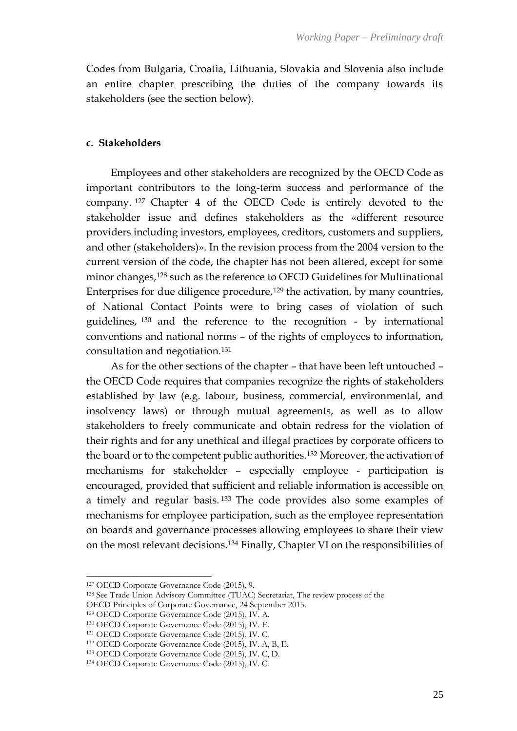Codes from Bulgaria, Croatia, Lithuania, Slovakia and Slovenia also include an entire chapter prescribing the duties of the company towards its stakeholders (see the section below).

### **c. Stakeholders**

Employees and other stakeholders are recognized by the OECD Code as important contributors to the long-term success and performance of the company. <sup>127</sup> Chapter 4 of the OECD Code is entirely devoted to the stakeholder issue and defines stakeholders as the «different resource providers including investors, employees, creditors, customers and suppliers, and other (stakeholders)». In the revision process from the 2004 version to the current version of the code, the chapter has not been altered, except for some minor changes,<sup>128</sup> such as the reference to OECD Guidelines for Multinational Enterprises for due diligence procedure,<sup>129</sup> the activation, by many countries, of National Contact Points were to bring cases of violation of such guidelines, <sup>130</sup> and the reference to the recognition - by international conventions and national norms – of the rights of employees to information, consultation and negotiation.<sup>131</sup>

As for the other sections of the chapter – that have been left untouched – the OECD Code requires that companies recognize the rights of stakeholders established by law (e.g. labour, business, commercial, environmental, and insolvency laws) or through mutual agreements, as well as to allow stakeholders to freely communicate and obtain redress for the violation of their rights and for any unethical and illegal practices by corporate officers to the board or to the competent public authorities.<sup>132</sup> Moreover, the activation of mechanisms for stakeholder – especially employee - participation is encouraged, provided that sufficient and reliable information is accessible on a timely and regular basis. <sup>133</sup> The code provides also some examples of mechanisms for employee participation, such as the employee representation on boards and governance processes allowing employees to share their view on the most relevant decisions.<sup>134</sup> Finally, Chapter VI on the responsibilities of

<sup>127</sup> OECD Corporate Governance Code (2015), 9.

<sup>128</sup> See Trade Union Advisory Committee (TUAC) Secretariat, The review process of the

OECD Principles of Corporate Governance, 24 September 2015.

<sup>129</sup> OECD Corporate Governance Code (2015), IV. A.

<sup>130</sup> OECD Corporate Governance Code (2015), IV. E.

<sup>131</sup> OECD Corporate Governance Code (2015), IV. C.

<sup>132</sup> OECD Corporate Governance Code (2015), IV. A, B, E.

<sup>133</sup> OECD Corporate Governance Code (2015), IV. C, D.

<sup>134</sup> OECD Corporate Governance Code (2015), IV. C.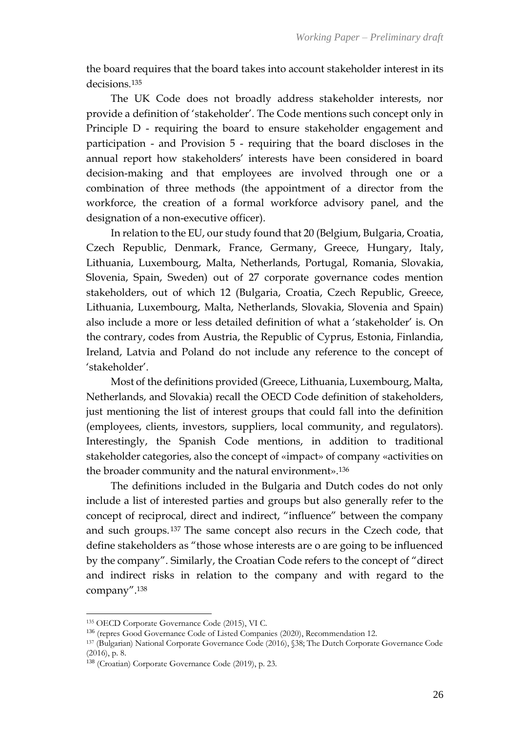the board requires that the board takes into account stakeholder interest in its decisions<sup>135</sup>

The UK Code does not broadly address stakeholder interests, nor provide a definition of 'stakeholder'. The Code mentions such concept only in Principle D - requiring the board to ensure stakeholder engagement and participation - and Provision 5 - requiring that the board discloses in the annual report how stakeholders' interests have been considered in board decision-making and that employees are involved through one or a combination of three methods (the appointment of a director from the workforce, the creation of a formal workforce advisory panel, and the designation of a non-executive officer).

In relation to the EU, our study found that 20 (Belgium, Bulgaria, Croatia, Czech Republic, Denmark, France, Germany, Greece, Hungary, Italy, Lithuania, Luxembourg, Malta, Netherlands, Portugal, Romania, Slovakia, Slovenia, Spain, Sweden) out of 27 corporate governance codes mention stakeholders, out of which 12 (Bulgaria, Croatia, Czech Republic, Greece, Lithuania, Luxembourg, Malta, Netherlands, Slovakia, Slovenia and Spain) also include a more or less detailed definition of what a 'stakeholder' is. On the contrary, codes from Austria, the Republic of Cyprus, Estonia, Finlandia, Ireland, Latvia and Poland do not include any reference to the concept of 'stakeholder'.

Most of the definitions provided (Greece, Lithuania, Luxembourg, Malta, Netherlands, and Slovakia) recall the OECD Code definition of stakeholders, just mentioning the list of interest groups that could fall into the definition (employees, clients, investors, suppliers, local community, and regulators). Interestingly, the Spanish Code mentions, in addition to traditional stakeholder categories, also the concept of «impact» of company «activities on the broader community and the natural environment».<sup>136</sup>

The definitions included in the Bulgaria and Dutch codes do not only include a list of interested parties and groups but also generally refer to the concept of reciprocal, direct and indirect, "influence" between the company and such groups. <sup>137</sup> The same concept also recurs in the Czech code, that define stakeholders as "those whose interests are o are going to be influenced by the company". Similarly, the Croatian Code refers to the concept of "direct and indirect risks in relation to the company and with regard to the company".<sup>138</sup>

<sup>135</sup> OECD Corporate Governance Code (2015), VI C.

<sup>136</sup> (repres Good Governance Code of Listed Companies (2020), Recommendation 12.

<sup>137</sup> (Bulgarian) National Corporate Governance Code (2016), §38; The Dutch Corporate Governance Code (2016), p. 8.

<sup>138</sup> (Croatian) Corporate Governance Code (2019), p. 23.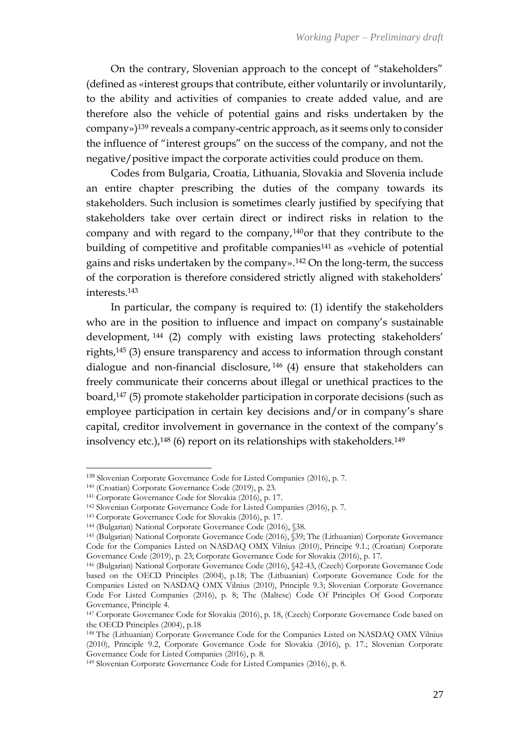On the contrary, Slovenian approach to the concept of "stakeholders" (defined as «interest groups that contribute, either voluntarily or involuntarily, to the ability and activities of companies to create added value, and are therefore also the vehicle of potential gains and risks undertaken by the company»)<sup>139</sup> reveals a company-centric approach, as it seems only to consider the influence of "interest groups" on the success of the company, and not the negative/positive impact the corporate activities could produce on them.

Codes from Bulgaria, Croatia, Lithuania, Slovakia and Slovenia include an entire chapter prescribing the duties of the company towards its stakeholders. Such inclusion is sometimes clearly justified by specifying that stakeholders take over certain direct or indirect risks in relation to the company and with regard to the company,140or that they contribute to the building of competitive and profitable companies<sup>141</sup> as «vehicle of potential gains and risks undertaken by the company».<sup>142</sup> On the long-term, the success of the corporation is therefore considered strictly aligned with stakeholders' interests.<sup>143</sup>

In particular, the company is required to: (1) identify the stakeholders who are in the position to influence and impact on company's sustainable development, <sup>144</sup> (2) comply with existing laws protecting stakeholders' rights,<sup>145</sup> (3) ensure transparency and access to information through constant dialogue and non-financial disclosure, <sup>146</sup> (4) ensure that stakeholders can freely communicate their concerns about illegal or unethical practices to the board,<sup>147</sup> (5) promote stakeholder participation in corporate decisions (such as employee participation in certain key decisions and/or in company's share capital, creditor involvement in governance in the context of the company's insolvency etc.),<sup>148</sup> (6) report on its relationships with stakeholders.<sup>149</sup>

<sup>139</sup> Slovenian Corporate Governance Code for Listed Companies (2016), p. 7.

<sup>140</sup> (Croatian) Corporate Governance Code (2019), p. 23.

<sup>141</sup> Corporate Governance Code for Slovakia (2016), p. 17.

<sup>142</sup> Slovenian Corporate Governance Code for Listed Companies (2016), p. 7.

<sup>143</sup> Corporate Governance Code for Slovakia (2016), p. 17.

<sup>144</sup> (Bulgarian) National Corporate Governance Code (2016), §38.

<sup>145</sup> (Bulgarian) National Corporate Governance Code (2016), §39; The (Lithuanian) Corporate Governance Code for the Companies Listed on NASDAQ OMX Vilnius (2010), Principe 9.1.; (Croatian) Corporate Governance Code (2019), p. 23; Corporate Governance Code for Slovakia (2016), p. 17.

<sup>146</sup> (Bulgarian) National Corporate Governance Code (2016), §42-43, (Czech) Corporate Governance Code based on the OECD Principles (2004), p.18; The (Lithuanian) Corporate Governance Code for the Companies Listed on NASDAQ OMX Vilnius (2010), Principle 9.3; Slovenian Corporate Governance Code For Listed Companies (2016), p. 8; The (Maltese) Code Of Principles Of Good Corporate Governance, Principle 4.

<sup>147</sup> Corporate Governance Code for Slovakia (2016), p. 18, (Czech) Corporate Governance Code based on the OECD Principles (2004), p.18

<sup>148</sup> The (Lithuanian) Corporate Governance Code for the Companies Listed on NASDAQ OMX Vilnius (2010), Principle 9.2, Corporate Governance Code for Slovakia (2016), p. 17.; Slovenian Corporate Governance Code for Listed Companies (2016), p. 8.

<sup>149</sup> Slovenian Corporate Governance Code for Listed Companies (2016), p. 8.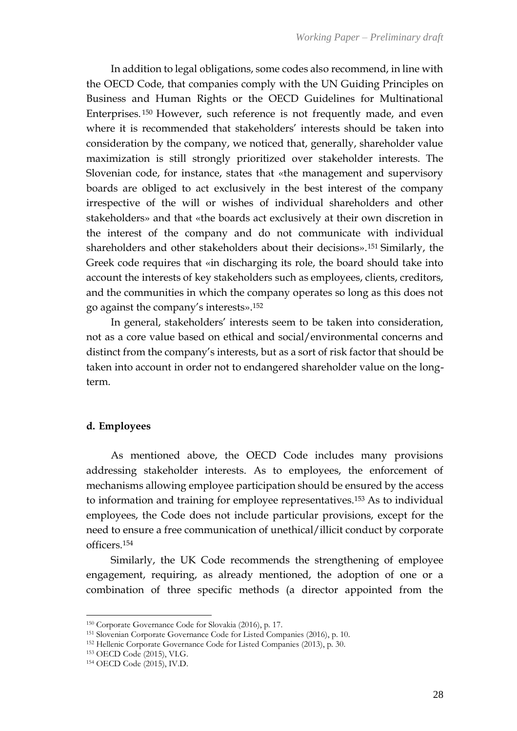In addition to legal obligations, some codes also recommend, in line with the OECD Code, that companies comply with the UN Guiding Principles on Business and Human Rights or the OECD Guidelines for Multinational Enterprises. <sup>150</sup> However, such reference is not frequently made, and even where it is recommended that stakeholders' interests should be taken into consideration by the company, we noticed that, generally, shareholder value maximization is still strongly prioritized over stakeholder interests. The Slovenian code, for instance, states that «the management and supervisory boards are obliged to act exclusively in the best interest of the company irrespective of the will or wishes of individual shareholders and other stakeholders» and that «the boards act exclusively at their own discretion in the interest of the company and do not communicate with individual shareholders and other stakeholders about their decisions».<sup>151</sup> Similarly, the Greek code requires that «in discharging its role, the board should take into account the interests of key stakeholders such as employees, clients, creditors, and the communities in which the company operates so long as this does not go against the company's interests».<sup>152</sup>

In general, stakeholders' interests seem to be taken into consideration, not as a core value based on ethical and social/environmental concerns and distinct from the company's interests, but as a sort of risk factor that should be taken into account in order not to endangered shareholder value on the longterm.

#### **d. Employees**

As mentioned above, the OECD Code includes many provisions addressing stakeholder interests. As to employees, the enforcement of mechanisms allowing employee participation should be ensured by the access to information and training for employee representatives.<sup>153</sup> As to individual employees, the Code does not include particular provisions, except for the need to ensure a free communication of unethical/illicit conduct by corporate officers.<sup>154</sup>

Similarly, the UK Code recommends the strengthening of employee engagement, requiring, as already mentioned, the adoption of one or a combination of three specific methods (a director appointed from the

<sup>150</sup> Corporate Governance Code for Slovakia (2016), p. 17.

<sup>151</sup> Slovenian Corporate Governance Code for Listed Companies (2016), p. 10.

<sup>152</sup> Hellenic Corporate Governance Code for Listed Companies (2013), p. 30.

<sup>153</sup> OECD Code (2015), VI.G.

<sup>154</sup> OECD Code (2015), IV.D.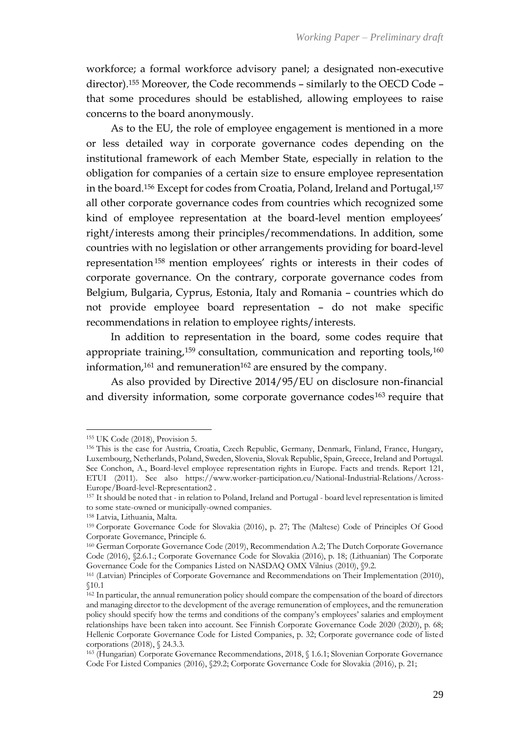workforce; a formal workforce advisory panel; a designated non-executive director).<sup>155</sup> Moreover, the Code recommends – similarly to the OECD Code – that some procedures should be established, allowing employees to raise concerns to the board anonymously.

As to the EU, the role of employee engagement is mentioned in a more or less detailed way in corporate governance codes depending on the institutional framework of each Member State, especially in relation to the obligation for companies of a certain size to ensure employee representation in the board.<sup>156</sup> Except for codes from Croatia, Poland, Ireland and Portugal,<sup>157</sup> all other corporate governance codes from countries which recognized some kind of employee representation at the board-level mention employees' right/interests among their principles/recommendations. In addition, some countries with no legislation or other arrangements providing for board-level representation<sup>158</sup> mention employees' rights or interests in their codes of corporate governance. On the contrary, corporate governance codes from Belgium, Bulgaria, Cyprus, Estonia, Italy and Romania – countries which do not provide employee board representation – do not make specific recommendations in relation to employee rights/interests.

In addition to representation in the board, some codes require that appropriate training,<sup>159</sup> consultation, communication and reporting tools,<sup>160</sup> information, $161$  and remuneration $162$  are ensured by the company.

As also provided by Directive 2014/95/EU on disclosure non-financial and diversity information, some corporate governance codes<sup>163</sup> require that

<sup>155</sup> UK Code (2018), Provision 5.

<sup>156</sup> This is the case for Austria, Croatia, Czech Republic, Germany, Denmark, Finland, France, Hungary, Luxembourg, Netherlands, Poland, Sweden, Slovenia, Slovak Republic, Spain, Greece, Ireland and Portugal. See Conchon, A., Board-level employee representation rights in Europe. Facts and trends. Report 121, ETUI (2011). See also https://www.worker-participation.eu/National-Industrial-Relations/Across-Europe/Board-level-Representation2 .

<sup>157</sup> It should be noted that - in relation to Poland, Ireland and Portugal - board level representation is limited to some state-owned or municipally-owned companies.

<sup>158</sup> Latvia, Lithuania, Malta.

<sup>159</sup> Corporate Governance Code for Slovakia (2016), p. 27; The (Maltese) Code of Principles Of Good Corporate Governance, Principle 6.

<sup>160</sup> German Corporate Governance Code (2019), Recommendation A.2; The Dutch Corporate Governance Code (2016), §2.6.1.; Corporate Governance Code for Slovakia (2016), p. 18; (Lithuanian) The Corporate Governance Code for the Companies Listed on NASDAQ OMX Vilnius (2010), §9.2.

<sup>161</sup> (Latvian) Principles of Corporate Governance and Recommendations on Their Implementation (2010), §10.1

<sup>&</sup>lt;sup>162</sup> In particular, the annual remuneration policy should compare the compensation of the board of directors and managing director to the development of the average remuneration of employees, and the remuneration policy should specify how the terms and conditions of the company's employees' salaries and employment relationships have been taken into account. See Finnish Corporate Governance Code 2020 (2020), p. 68; Hellenic Corporate Governance Code for Listed Companies, p. 32; Corporate governance code of listed corporations (2018), § 24.3.3.

<sup>163</sup> (Hungarian) Corporate Governance Recommendations, 2018, § 1.6.1; Slovenian Corporate Governance Code For Listed Companies (2016), §29.2; Corporate Governance Code for Slovakia (2016), p. 21;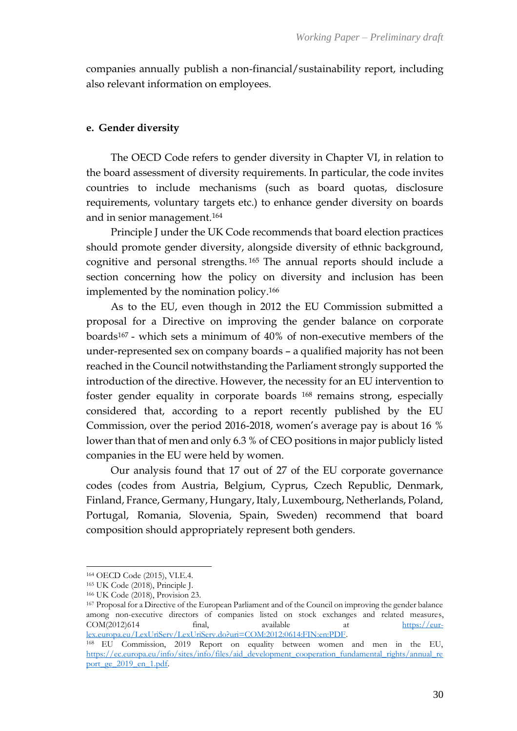companies annually publish a non-financial/sustainability report, including also relevant information on employees.

# **e. Gender diversity**

The OECD Code refers to gender diversity in Chapter VI, in relation to the board assessment of diversity requirements. In particular, the code invites countries to include mechanisms (such as board quotas, disclosure requirements, voluntary targets etc.) to enhance gender diversity on boards and in senior management.<sup>164</sup>

Principle J under the UK Code recommends that board election practices should promote gender diversity, alongside diversity of ethnic background, cognitive and personal strengths. <sup>165</sup> The annual reports should include a section concerning how the policy on diversity and inclusion has been implemented by the nomination policy.<sup>166</sup>

As to the EU, even though in 2012 the EU Commission submitted a proposal for a Directive on improving the gender balance on corporate boards<sup>167</sup> - which sets a minimum of 40% of non-executive members of the under-represented sex on company boards – a qualified majority has not been reached in the Council notwithstanding the Parliament strongly supported the introduction of the directive. However, the necessity for an EU intervention to foster gender equality in corporate boards <sup>168</sup> remains strong, especially considered that, according to a report recently published by the EU Commission, over the period 2016-2018, women's average pay is about 16 % lower than that of men and only 6.3 % of CEO positions in major publicly listed companies in the EU were held by women.

Our analysis found that 17 out of 27 of the EU corporate governance codes (codes from Austria, Belgium, Cyprus, Czech Republic, Denmark, Finland, France, Germany, Hungary, Italy, Luxembourg, Netherlands, Poland, Portugal, Romania, Slovenia, Spain, Sweden) recommend that board composition should appropriately represent both genders.

<sup>164</sup> OECD Code (2015), VI.E.4.

<sup>165</sup> UK Code (2018), Principle J.

<sup>166</sup> UK Code (2018), Provision 23.

<sup>167</sup> Proposal for a Directive of the European Parliament and of the Council on improving the gender balance among non-executive directors of companies listed on stock exchanges and related measures, COM(2012)614 final, available at [https://eur](https://eur-lex.europa.eu/LexUriServ/LexUriServ.do?uri=COM:2012:0614:FIN:en:PDF)[lex.europa.eu/LexUriServ/LexUriServ.do?uri=COM:2012:0614:FIN:en:PDF.](https://eur-lex.europa.eu/LexUriServ/LexUriServ.do?uri=COM:2012:0614:FIN:en:PDF)

<sup>168</sup> EU Commission, 2019 Report on equality between women and men in the EU, [https://ec.europa.eu/info/sites/info/files/aid\\_development\\_cooperation\\_fundamental\\_rights/annual\\_re](https://ec.europa.eu/info/sites/info/files/aid_development_cooperation_fundamental_rights/annual_report_ge_2019_en_1.pdf) [port\\_ge\\_2019\\_en\\_1.pdf.](https://ec.europa.eu/info/sites/info/files/aid_development_cooperation_fundamental_rights/annual_report_ge_2019_en_1.pdf)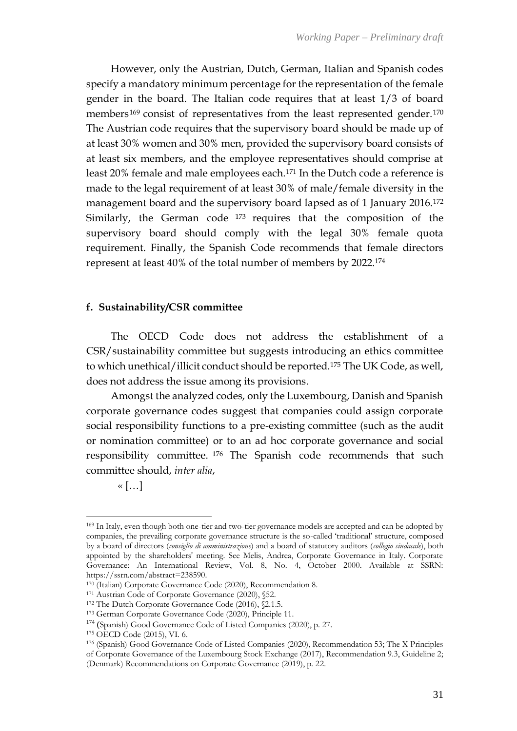However, only the Austrian, Dutch, German, Italian and Spanish codes specify a mandatory minimum percentage for the representation of the female gender in the board. The Italian code requires that at least 1/3 of board members<sup>169</sup> consist of representatives from the least represented gender.<sup>170</sup> The Austrian code requires that the supervisory board should be made up of at least 30% women and 30% men, provided the supervisory board consists of at least six members, and the employee representatives should comprise at least 20% female and male employees each.<sup>171</sup> In the Dutch code a reference is made to the legal requirement of at least 30% of male/female diversity in the management board and the supervisory board lapsed as of 1 January 2016.<sup>172</sup> Similarly, the German code <sup>173</sup> requires that the composition of the supervisory board should comply with the legal 30% female quota requirement. Finally, the Spanish Code recommends that female directors represent at least 40% of the total number of members by 2022.<sup>174</sup>

#### **f. Sustainability/CSR committee**

The OECD Code does not address the establishment of a CSR/sustainability committee but suggests introducing an ethics committee to which unethical/illicit conduct should be reported.<sup>175</sup> The UK Code, as well, does not address the issue among its provisions.

Amongst the analyzed codes, only the Luxembourg, Danish and Spanish corporate governance codes suggest that companies could assign corporate social responsibility functions to a pre-existing committee (such as the audit or nomination committee) or to an ad hoc corporate governance and social responsibility committee. <sup>176</sup> The Spanish code recommends that such committee should, *inter alia*,

 $\leftarrow$  [...]

<sup>&</sup>lt;sup>169</sup> In Italy, even though both one-tier and two-tier governance models are accepted and can be adopted by companies, the prevailing corporate governance structure is the so-called 'traditional' structure, composed by a board of directors (*consiglio di amministrazione*) and a board of statutory auditors (*collegio sindacale*), both appointed by the shareholders' meeting. See Melis, Andrea, Corporate Governance in Italy. Corporate Governance: An International Review, Vol. 8, No. 4, October 2000. Available at SSRN: https://ssrn.com/abstract=238590.

<sup>170</sup> (Italian) Corporate Governance Code (2020), Recommendation 8.

<sup>171</sup> Austrian Code of Corporate Governance (2020), §52.

<sup>172</sup> The Dutch Corporate Governance Code (2016), §2.1.5.

<sup>173</sup> German Corporate Governance Code (2020), Principle 11.

<sup>174</sup> (Spanish) Good Governance Code of Listed Companies (2020), p. 27.

<sup>175</sup> OECD Code (2015), VI. 6.

<sup>176</sup> (Spanish) Good Governance Code of Listed Companies (2020), Recommendation 53; The X Principles of Corporate Governance of the Luxembourg Stock Exchange (2017), Recommendation 9.3, Guideline 2; (Denmark) Recommendations on Corporate Governance (2019), p. 22.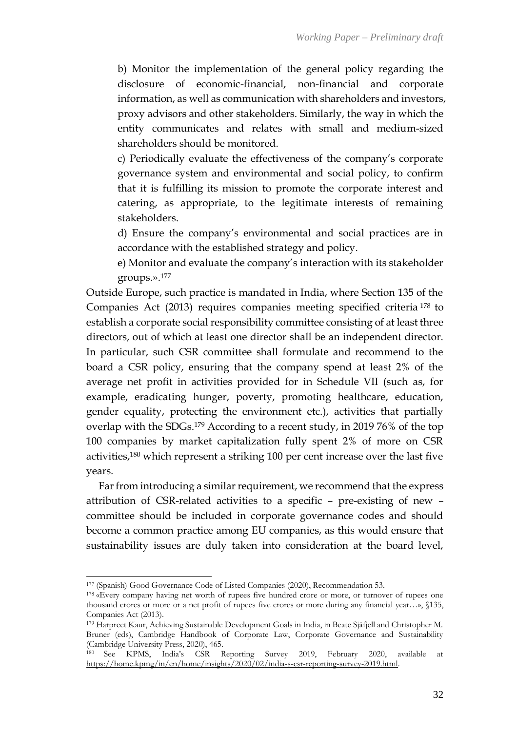b) Monitor the implementation of the general policy regarding the disclosure of economic-financial, non-financial and corporate information, as well as communication with shareholders and investors, proxy advisors and other stakeholders. Similarly, the way in which the entity communicates and relates with small and medium-sized shareholders should be monitored.

c) Periodically evaluate the effectiveness of the company's corporate governance system and environmental and social policy, to confirm that it is fulfilling its mission to promote the corporate interest and catering, as appropriate, to the legitimate interests of remaining stakeholders.

d) Ensure the company's environmental and social practices are in accordance with the established strategy and policy.

e) Monitor and evaluate the company's interaction with its stakeholder groups.».<sup>177</sup>

Outside Europe, such practice is mandated in India, where Section 135 of the Companies Act (2013) requires companies meeting specified criteria <sup>178</sup> to establish a corporate social responsibility committee consisting of at least three directors, out of which at least one director shall be an independent director. In particular, such CSR committee shall formulate and recommend to the board a CSR policy, ensuring that the company spend at least 2% of the average net profit in activities provided for in Schedule VII (such as, for example, eradicating hunger, poverty, promoting healthcare, education, gender equality, protecting the environment etc.), activities that partially overlap with the SDGs.<sup>179</sup> According to a recent study, in 2019 76% of the top 100 companies by market capitalization fully spent 2% of more on CSR activities,<sup>180</sup> which represent a striking 100 per cent increase over the last five years.

Far from introducing a similar requirement, we recommend that the express attribution of CSR-related activities to a specific – pre-existing of new – committee should be included in corporate governance codes and should become a common practice among EU companies, as this would ensure that sustainability issues are duly taken into consideration at the board level,

<sup>177</sup> (Spanish) Good Governance Code of Listed Companies (2020), Recommendation 53.

<sup>&</sup>lt;sup>178</sup> «Every company having net worth of rupees five hundred crore or more, or turnover of rupees one thousand crores or more or a net profit of rupees five crores or more during any financial year…», §135, Companies Act (2013).

<sup>179</sup> Harpreet Kaur, Achieving Sustainable Development Goals in India, in Beate Sjåfjell and Christopher M. Bruner (eds), Cambridge Handbook of Corporate Law, Corporate Governance and Sustainability (Cambridge University Press, 2020), 465.

<sup>180</sup> See KPMS, India's CSR Reporting Survey 2019, February 2020, available at [https://home.kpmg/in/en/home/insights/2020/02/india-s-csr-reporting-survey-2019.html.](https://home.kpmg/in/en/home/insights/2020/02/india-s-csr-reporting-survey-2019.html)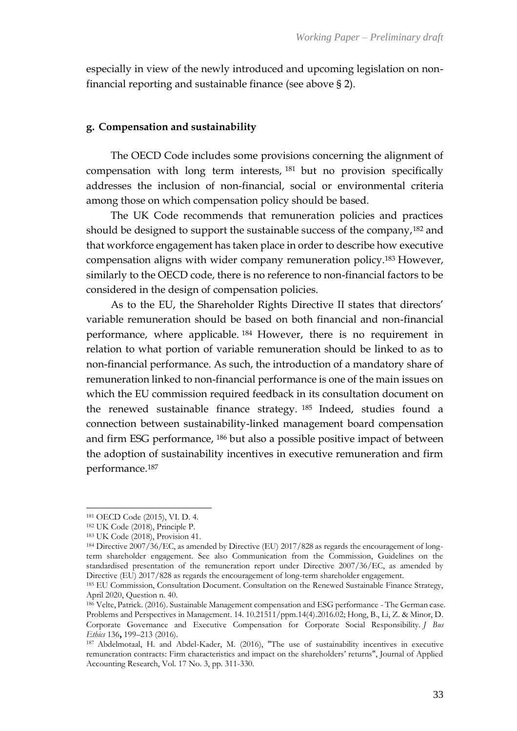especially in view of the newly introduced and upcoming legislation on nonfinancial reporting and sustainable finance (see above § 2).

#### **g. Compensation and sustainability**

The OECD Code includes some provisions concerning the alignment of compensation with long term interests, <sup>181</sup> but no provision specifically addresses the inclusion of non-financial, social or environmental criteria among those on which compensation policy should be based.

The UK Code recommends that remuneration policies and practices should be designed to support the sustainable success of the company,<sup>182</sup> and that workforce engagement has taken place in order to describe how executive compensation aligns with wider company remuneration policy.<sup>183</sup> However, similarly to the OECD code, there is no reference to non-financial factors to be considered in the design of compensation policies.

As to the EU, the Shareholder Rights Directive II states that directors' variable remuneration should be based on both financial and non-financial performance, where applicable. <sup>184</sup> However, there is no requirement in relation to what portion of variable remuneration should be linked to as to non-financial performance. As such, the introduction of a mandatory share of remuneration linked to non-financial performance is one of the main issues on which the EU commission required feedback in its consultation document on the renewed sustainable finance strategy. <sup>185</sup> Indeed, studies found a connection between sustainability-linked management board compensation and firm ESG performance, <sup>186</sup> but also a possible positive impact of between the adoption of sustainability incentives in executive remuneration and firm performance.<sup>187</sup>

<sup>181</sup> OECD Code (2015), VI. D. 4.

<sup>182</sup> UK Code (2018), Principle P.

<sup>183</sup> UK Code (2018), Provision 41.

<sup>184</sup> Directive 2007/36/EC, as amended by Directive (EU) 2017/828 as regards the encouragement of longterm shareholder engagement. See also Communication from the Commission, Guidelines on the standardised presentation of the remuneration report under Directive 2007/36/EC, as amended by Directive (EU) 2017/828 as regards the encouragement of long-term shareholder engagement.

<sup>185</sup> EU Commission, Consultation Document. Consultation on the Renewed Sustainable Finance Strategy, April 2020, Question n. 40.

<sup>186</sup> Velte, Patrick. (2016). Sustainable Management compensation and ESG performance - The German case. Problems and Perspectives in Management. 14. 10.21511/ppm.14(4).2016.02; Hong, B., Li, Z. & Minor, D. Corporate Governance and Executive Compensation for Corporate Social Responsibility. *J Bus Ethics* 136**,** 199–213 (2016).

<sup>187</sup> Abdelmotaal, H. and Abdel-Kader, M. (2016), "The use of sustainability incentives in executive remuneration contracts: Firm characteristics and impact on the shareholders' returns", Journal of Applied Accounting Research, Vol. 17 No. 3, pp. 311-330.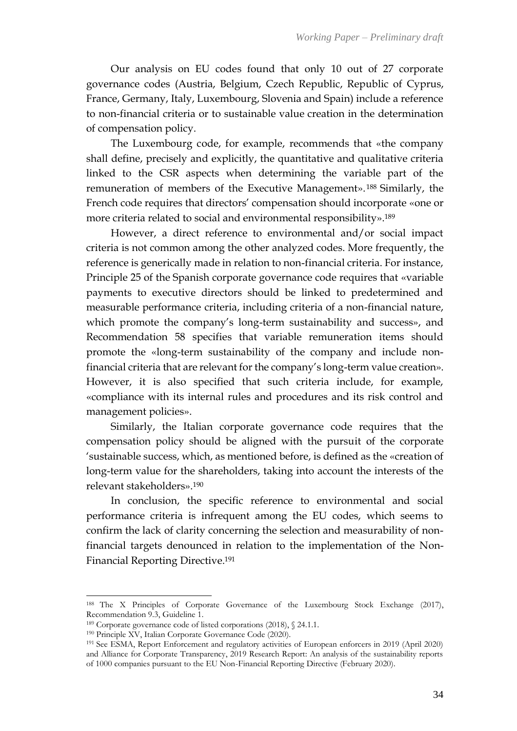Our analysis on EU codes found that only 10 out of 27 corporate governance codes (Austria, Belgium, Czech Republic, Republic of Cyprus, France, Germany, Italy, Luxembourg, Slovenia and Spain) include a reference to non-financial criteria or to sustainable value creation in the determination of compensation policy.

The Luxembourg code, for example, recommends that «the company shall define, precisely and explicitly, the quantitative and qualitative criteria linked to the CSR aspects when determining the variable part of the remuneration of members of the Executive Management». <sup>188</sup> Similarly, the French code requires that directors' compensation should incorporate «one or more criteria related to social and environmental responsibility».<sup>189</sup>

However, a direct reference to environmental and/or social impact criteria is not common among the other analyzed codes. More frequently, the reference is generically made in relation to non-financial criteria. For instance, Principle 25 of the Spanish corporate governance code requires that «variable payments to executive directors should be linked to predetermined and measurable performance criteria, including criteria of a non-financial nature, which promote the company's long-term sustainability and success», and Recommendation 58 specifies that variable remuneration items should promote the «long-term sustainability of the company and include nonfinancial criteria that are relevant for the company's long-term value creation». However, it is also specified that such criteria include, for example, «compliance with its internal rules and procedures and its risk control and management policies».

Similarly, the Italian corporate governance code requires that the compensation policy should be aligned with the pursuit of the corporate 'sustainable success, which, as mentioned before, is defined as the «creation of long-term value for the shareholders, taking into account the interests of the relevant stakeholders».<sup>190</sup>

In conclusion, the specific reference to environmental and social performance criteria is infrequent among the EU codes, which seems to confirm the lack of clarity concerning the selection and measurability of nonfinancial targets denounced in relation to the implementation of the Non-Financial Reporting Directive. 191

<sup>188</sup> The X Principles of Corporate Governance of the Luxembourg Stock Exchange (2017), Recommendation 9.3, Guideline 1.

<sup>189</sup> Corporate governance code of listed corporations (2018), § 24.1.1.

<sup>190</sup> Principle XV, Italian Corporate Governance Code (2020).

<sup>191</sup> See ESMA, Report Enforcement and regulatory activities of European enforcers in 2019 (April 2020) and Alliance for Corporate Transparency, 2019 Research Report: An analysis of the sustainability reports of 1000 companies pursuant to the EU Non-Financial Reporting Directive (February 2020).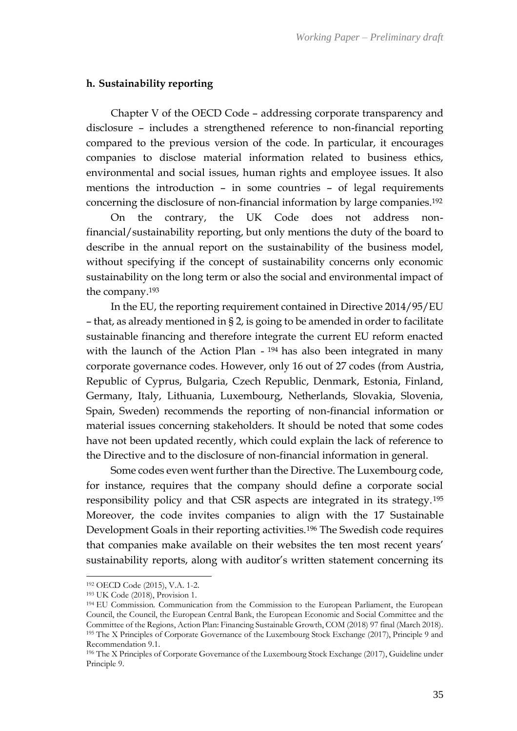#### **h. Sustainability reporting**

Chapter V of the OECD Code – addressing corporate transparency and disclosure – includes a strengthened reference to non-financial reporting compared to the previous version of the code. In particular, it encourages companies to disclose material information related to business ethics, environmental and social issues, human rights and employee issues. It also mentions the introduction – in some countries – of legal requirements concerning the disclosure of non-financial information by large companies.<sup>192</sup>

On the contrary, the UK Code does not address nonfinancial/sustainability reporting, but only mentions the duty of the board to describe in the annual report on the sustainability of the business model, without specifying if the concept of sustainability concerns only economic sustainability on the long term or also the social and environmental impact of the company.<sup>193</sup>

In the EU, the reporting requirement contained in Directive 2014/95/EU – that, as already mentioned in § 2, is going to be amended in order to facilitate sustainable financing and therefore integrate the current EU reform enacted with the launch of the Action Plan - <sup>194</sup> has also been integrated in many corporate governance codes. However, only 16 out of 27 codes (from Austria, Republic of Cyprus, Bulgaria, Czech Republic, Denmark, Estonia, Finland, Germany, Italy, Lithuania, Luxembourg, Netherlands, Slovakia, Slovenia, Spain, Sweden) recommends the reporting of non-financial information or material issues concerning stakeholders. It should be noted that some codes have not been updated recently, which could explain the lack of reference to the Directive and to the disclosure of non-financial information in general.

Some codes even went further than the Directive. The Luxembourg code, for instance, requires that the company should define a corporate social responsibility policy and that CSR aspects are integrated in its strategy.<sup>195</sup> Moreover, the code invites companies to align with the 17 Sustainable Development Goals in their reporting activities.<sup>196</sup> The Swedish code requires that companies make available on their websites the ten most recent years' sustainability reports, along with auditor's written statement concerning its

<sup>192</sup> OECD Code (2015), V.A. 1-2.

<sup>193</sup> UK Code (2018), Provision 1.

<sup>194</sup> EU Commission. Communication from the Commission to the European Parliament, the European Council, the Council, the European Central Bank, the European Economic and Social Committee and the Committee of the Regions, Action Plan: Financing Sustainable Growth, COM (2018) 97 final (March 2018). <sup>195</sup> The X Principles of Corporate Governance of the Luxembourg Stock Exchange (2017), Principle 9 and Recommendation 9.1.

<sup>196</sup> The X Principles of Corporate Governance of the Luxembourg Stock Exchange (2017), Guideline under Principle 9.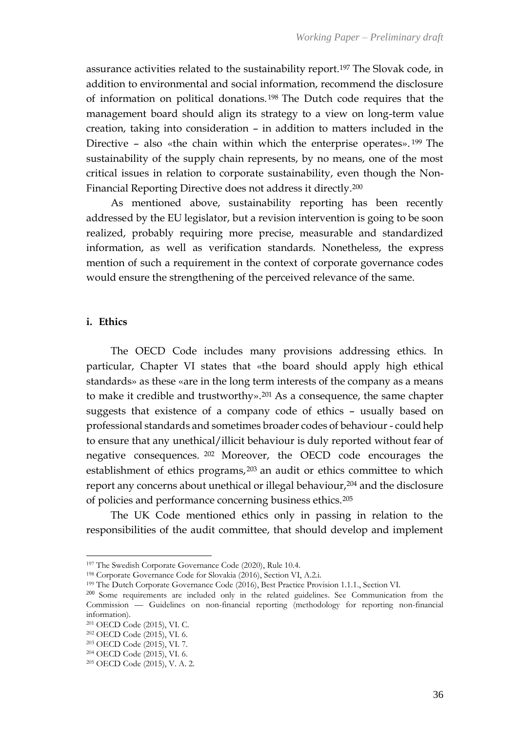assurance activities related to the sustainability report.<sup>197</sup> The Slovak code, in addition to environmental and social information, recommend the disclosure of information on political donations. <sup>198</sup> The Dutch code requires that the management board should align its strategy to a view on long-term value creation, taking into consideration – in addition to matters included in the Directive – also «the chain within which the enterprise operates». <sup>199</sup> The sustainability of the supply chain represents, by no means, one of the most critical issues in relation to corporate sustainability, even though the Non-Financial Reporting Directive does not address it directly.<sup>200</sup>

As mentioned above, sustainability reporting has been recently addressed by the EU legislator, but a revision intervention is going to be soon realized, probably requiring more precise, measurable and standardized information, as well as verification standards. Nonetheless, the express mention of such a requirement in the context of corporate governance codes would ensure the strengthening of the perceived relevance of the same.

#### **i. Ethics**

The OECD Code includes many provisions addressing ethics. In particular, Chapter VI states that «the board should apply high ethical standards» as these «are in the long term interests of the company as a means to make it credible and trustworthy».<sup>201</sup> As a consequence, the same chapter suggests that existence of a company code of ethics – usually based on professional standards and sometimes broader codes of behaviour - could help to ensure that any unethical/illicit behaviour is duly reported without fear of negative consequences. <sup>202</sup> Moreover, the OECD code encourages the establishment of ethics programs,<sup>203</sup> an audit or ethics committee to which report any concerns about unethical or illegal behaviour,<sup>204</sup> and the disclosure of policies and performance concerning business ethics.<sup>205</sup>

The UK Code mentioned ethics only in passing in relation to the responsibilities of the audit committee, that should develop and implement

<sup>198</sup> Corporate Governance Code for Slovakia (2016), Section VI, A.2.i.

<sup>197</sup> The Swedish Corporate Governance Code (2020), Rule 10.4.

<sup>199</sup> The Dutch Corporate Governance Code (2016), Best Practice Provision 1.1.1., Section VI.

<sup>&</sup>lt;sup>200</sup> Some requirements are included only in the related guidelines. See Communication from the Commission — Guidelines on non-financial reporting (methodology for reporting non-financial information).

<sup>201</sup> OECD Code (2015), VI. C.

<sup>202</sup> OECD Code (2015), VI. 6.

<sup>203</sup> OECD Code (2015), VI. 7.

<sup>204</sup> OECD Code (2015), VI. 6.

<sup>205</sup> OECD Code (2015), V. A. 2.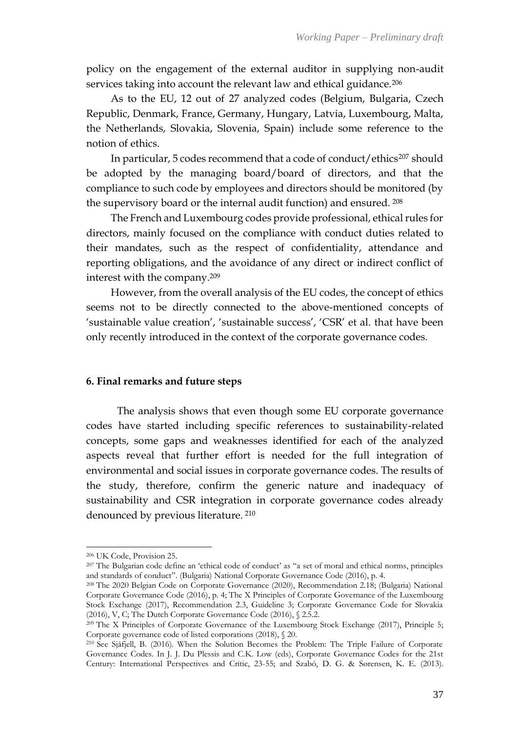policy on the engagement of the external auditor in supplying non-audit services taking into account the relevant law and ethical guidance.<sup>206</sup>

As to the EU, 12 out of 27 analyzed codes (Belgium, Bulgaria, Czech Republic, Denmark, France, Germany, Hungary, Latvia, Luxembourg, Malta, the Netherlands, Slovakia, Slovenia, Spain) include some reference to the notion of ethics.

In particular, 5 codes recommend that a code of conduct/ethics<sup>207</sup> should be adopted by the managing board/board of directors, and that the compliance to such code by employees and directors should be monitored (by the supervisory board or the internal audit function) and ensured. <sup>208</sup>

The French and Luxembourg codes provide professional, ethical rules for directors, mainly focused on the compliance with conduct duties related to their mandates, such as the respect of confidentiality, attendance and reporting obligations, and the avoidance of any direct or indirect conflict of interest with the company.<sup>209</sup>

However, from the overall analysis of the EU codes, the concept of ethics seems not to be directly connected to the above-mentioned concepts of 'sustainable value creation', 'sustainable success', 'CSR' et al. that have been only recently introduced in the context of the corporate governance codes.

# **6. Final remarks and future steps**

The analysis shows that even though some EU corporate governance codes have started including specific references to sustainability-related concepts, some gaps and weaknesses identified for each of the analyzed aspects reveal that further effort is needed for the full integration of environmental and social issues in corporate governance codes. The results of the study, therefore, confirm the generic nature and inadequacy of sustainability and CSR integration in corporate governance codes already denounced by previous literature. <sup>210</sup>

<sup>206</sup> UK Code, Provision 25.

<sup>207</sup> The Bulgarian code define an 'ethical code of conduct' as "a set of moral and ethical norms, principles and standards of conduct". (Bulgaria) National Corporate Governance Code (2016), p. 4.

<sup>208</sup> The 2020 Belgian Code on Corporate Governance (2020), Recommendation 2.18; (Bulgaria) National Corporate Governance Code (2016), p. 4; The X Principles of Corporate Governance of the Luxembourg Stock Exchange (2017), Recommendation 2.3, Guideline 3; Corporate Governance Code for Slovakia (2016), V, C; The Dutch Corporate Governance Code (2016), § 2.5.2.

<sup>&</sup>lt;sup>209</sup> The X Principles of Corporate Governance of the Luxembourg Stock Exchange (2017), Principle 5; Corporate governance code of listed corporations (2018), § 20.

<sup>210</sup> See Sjåfjell, B. (2016). When the Solution Becomes the Problem: The Triple Failure of Corporate Governance Codes. In J. J. Du Plessis and C.K. Low (eds), Corporate Governance Codes for the 21st Century: International Perspectives and Critic, 23-55; and Szabó, D. G. & Sørensen, K. E. (2013).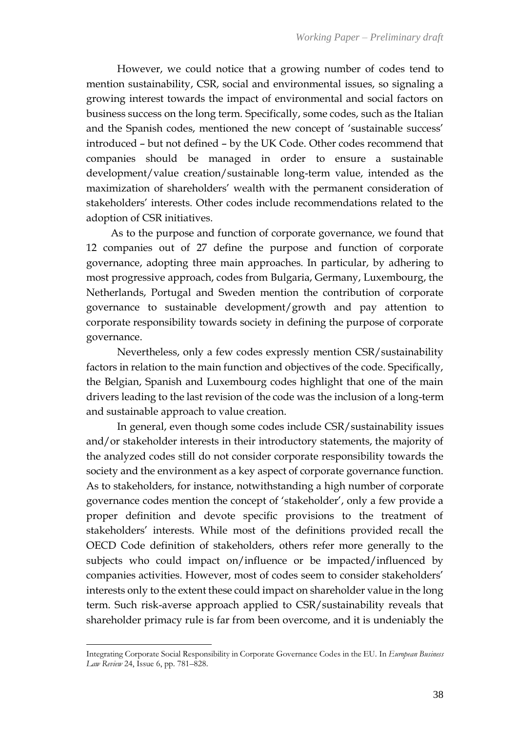However, we could notice that a growing number of codes tend to mention sustainability, CSR, social and environmental issues, so signaling a growing interest towards the impact of environmental and social factors on business success on the long term. Specifically, some codes, such as the Italian and the Spanish codes, mentioned the new concept of 'sustainable success' introduced – but not defined – by the UK Code. Other codes recommend that companies should be managed in order to ensure a sustainable development/value creation/sustainable long-term value, intended as the maximization of shareholders' wealth with the permanent consideration of stakeholders' interests. Other codes include recommendations related to the adoption of CSR initiatives.

As to the purpose and function of corporate governance, we found that 12 companies out of 27 define the purpose and function of corporate governance, adopting three main approaches. In particular, by adhering to most progressive approach, codes from Bulgaria, Germany, Luxembourg, the Netherlands, Portugal and Sweden mention the contribution of corporate governance to sustainable development/growth and pay attention to corporate responsibility towards society in defining the purpose of corporate governance.

Nevertheless, only a few codes expressly mention CSR/sustainability factors in relation to the main function and objectives of the code. Specifically, the Belgian, Spanish and Luxembourg codes highlight that one of the main drivers leading to the last revision of the code was the inclusion of a long-term and sustainable approach to value creation.

In general, even though some codes include CSR/sustainability issues and/or stakeholder interests in their introductory statements, the majority of the analyzed codes still do not consider corporate responsibility towards the society and the environment as a key aspect of corporate governance function. As to stakeholders, for instance, notwithstanding a high number of corporate governance codes mention the concept of 'stakeholder', only a few provide a proper definition and devote specific provisions to the treatment of stakeholders' interests. While most of the definitions provided recall the OECD Code definition of stakeholders, others refer more generally to the subjects who could impact on/influence or be impacted/influenced by companies activities. However, most of codes seem to consider stakeholders' interests only to the extent these could impact on shareholder value in the long term. Such risk-averse approach applied to CSR/sustainability reveals that shareholder primacy rule is far from been overcome, and it is undeniably the

Integrating Corporate Social Responsibility in Corporate Governance Codes in the EU. In *European Business Law Review* 24, Issue 6, pp. 781–828.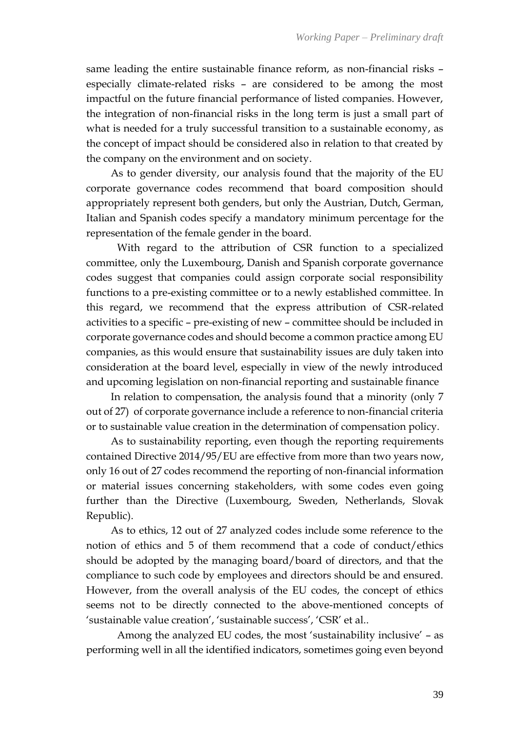same leading the entire sustainable finance reform, as non-financial risks – especially climate-related risks – are considered to be among the most impactful on the future financial performance of listed companies. However, the integration of non-financial risks in the long term is just a small part of what is needed for a truly successful transition to a sustainable economy, as the concept of impact should be considered also in relation to that created by the company on the environment and on society.

As to gender diversity, our analysis found that the majority of the EU corporate governance codes recommend that board composition should appropriately represent both genders, but only the Austrian, Dutch, German, Italian and Spanish codes specify a mandatory minimum percentage for the representation of the female gender in the board.

With regard to the attribution of CSR function to a specialized committee, only the Luxembourg, Danish and Spanish corporate governance codes suggest that companies could assign corporate social responsibility functions to a pre-existing committee or to a newly established committee. In this regard, we recommend that the express attribution of CSR-related activities to a specific – pre-existing of new – committee should be included in corporate governance codes and should become a common practice among EU companies, as this would ensure that sustainability issues are duly taken into consideration at the board level, especially in view of the newly introduced and upcoming legislation on non-financial reporting and sustainable finance

In relation to compensation, the analysis found that a minority (only 7 out of 27) of corporate governance include a reference to non-financial criteria or to sustainable value creation in the determination of compensation policy.

As to sustainability reporting, even though the reporting requirements contained Directive 2014/95/EU are effective from more than two years now, only 16 out of 27 codes recommend the reporting of non-financial information or material issues concerning stakeholders, with some codes even going further than the Directive (Luxembourg, Sweden, Netherlands, Slovak Republic).

As to ethics, 12 out of 27 analyzed codes include some reference to the notion of ethics and 5 of them recommend that a code of conduct/ethics should be adopted by the managing board/board of directors, and that the compliance to such code by employees and directors should be and ensured. However, from the overall analysis of the EU codes, the concept of ethics seems not to be directly connected to the above-mentioned concepts of 'sustainable value creation', 'sustainable success', 'CSR' et al..

Among the analyzed EU codes, the most 'sustainability inclusive' – as performing well in all the identified indicators, sometimes going even beyond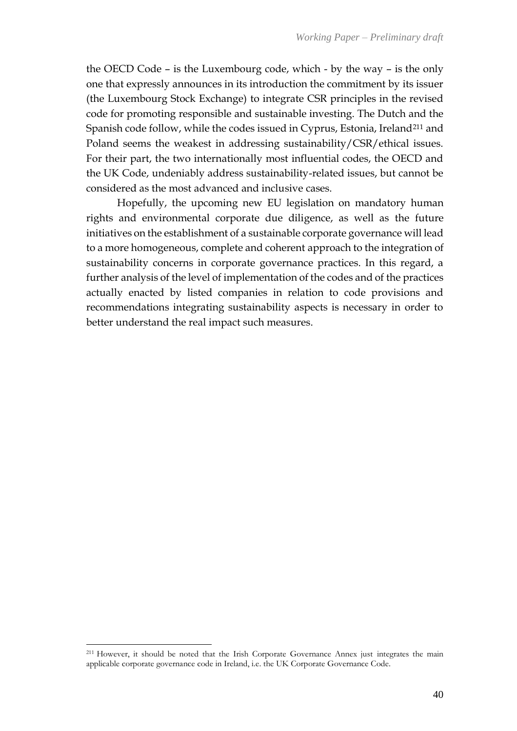the OECD Code – is the Luxembourg code, which - by the way – is the only one that expressly announces in its introduction the commitment by its issuer (the Luxembourg Stock Exchange) to integrate CSR principles in the revised code for promoting responsible and sustainable investing. The Dutch and the Spanish code follow, while the codes issued in Cyprus, Estonia, Ireland<sup>211</sup> and Poland seems the weakest in addressing sustainability/CSR/ethical issues. For their part, the two internationally most influential codes, the OECD and the UK Code, undeniably address sustainability-related issues, but cannot be considered as the most advanced and inclusive cases.

Hopefully, the upcoming new EU legislation on mandatory human rights and environmental corporate due diligence, as well as the future initiatives on the establishment of a sustainable corporate governance will lead to a more homogeneous, complete and coherent approach to the integration of sustainability concerns in corporate governance practices. In this regard, a further analysis of the level of implementation of the codes and of the practices actually enacted by listed companies in relation to code provisions and recommendations integrating sustainability aspects is necessary in order to better understand the real impact such measures.

<sup>211</sup> However, it should be noted that the Irish Corporate Governance Annex just integrates the main applicable corporate governance code in Ireland, i.e. the UK Corporate Governance Code.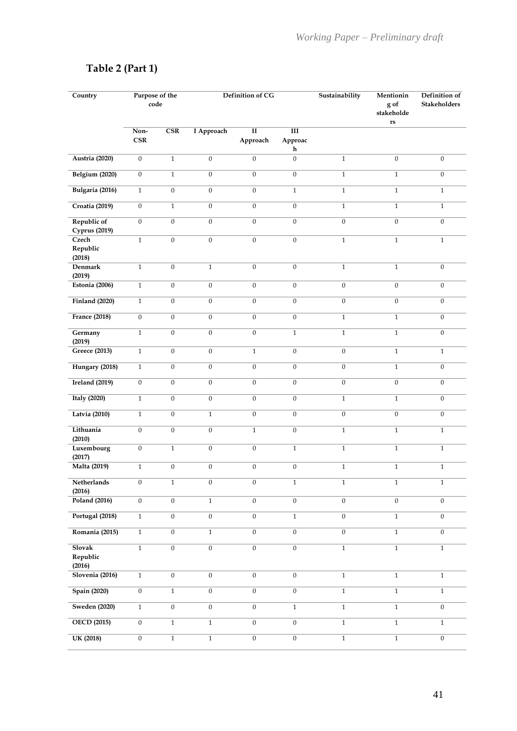|  |  | Table 2 (Part 1) |  |
|--|--|------------------|--|
|--|--|------------------|--|

| Country                             | Purpose of the<br>code |                         | Definition of CG |                                     | Sustainability                  | Mentionin<br>g of<br>stakeholde<br>$\mathbf{r}\mathbf{s}$ | Definition of<br>Stakeholders |                  |
|-------------------------------------|------------------------|-------------------------|------------------|-------------------------------------|---------------------------------|-----------------------------------------------------------|-------------------------------|------------------|
|                                     | Non-<br>CSR            | $\overline{\text{CSR}}$ | I Approach       | $\overline{\mathbf{H}}$<br>Approach | $\overline{\rm III}$<br>Approac |                                                           |                               |                  |
|                                     |                        |                         |                  |                                     | h                               |                                                           |                               |                  |
| Austria (2020)                      | $\boldsymbol{0}$       | $\,1$                   | $\boldsymbol{0}$ | $\boldsymbol{0}$                    | $\boldsymbol{0}$                | $\mathbf{1}$                                              | $\mathbf{0}$                  | $\boldsymbol{0}$ |
| <b>Belgium (2020)</b>               | $\overline{0}$         | $\,1$                   | $\overline{0}$   | $\overline{0}$                      | $\overline{0}$                  | $\mathbf{1}$                                              | $\overline{1}$                | $\mathbf{0}$     |
| Bulgaria (2016)                     | $\,1\,$                | $\boldsymbol{0}$        | $\boldsymbol{0}$ | $\boldsymbol{0}$                    | $\,1$                           | $\,1\,$                                                   | $\overline{1}$                | $\mathbf{1}$     |
| <b>Croatia (2019)</b>               | $\boldsymbol{0}$       | $\,1$                   | $\boldsymbol{0}$ | $\boldsymbol{0}$                    | $\overline{0}$                  | $\,1\,$                                                   | $\overline{1}$                | $\mathbf{1}$     |
| Republic of<br><b>Cyprus</b> (2019) | $\overline{0}$         | $\boldsymbol{0}$        | $\boldsymbol{0}$ | $\overline{0}$                      | $\overline{0}$                  | $\boldsymbol{0}$                                          | $\overline{0}$                | $\boldsymbol{0}$ |
| Czech                               | $\mathbf{1}$           | $\boldsymbol{0}$        | $\boldsymbol{0}$ | $\boldsymbol{0}$                    | $\overline{0}$                  | $\,1\,$                                                   | $\mathbf{1}$                  | $\mathbf{1}$     |
| Republic                            |                        |                         |                  |                                     |                                 |                                                           |                               |                  |
| (2018)                              |                        |                         |                  |                                     |                                 |                                                           |                               |                  |
| <b>Denmark</b><br>(2019)            | $\mathbf{1}$           | $\boldsymbol{0}$        | $\,1\,$          | $\boldsymbol{0}$                    | $\mathbf{0}$                    | $\mathbf{1}$                                              | $\mathbf{1}$                  | $\boldsymbol{0}$ |
| Estonia (2006)                      | $\mathbf{1}$           | $\boldsymbol{0}$        | $\boldsymbol{0}$ | $\boldsymbol{0}$                    | $\boldsymbol{0}$                | $\boldsymbol{0}$                                          | $\boldsymbol{0}$              | $\boldsymbol{0}$ |
| <b>Finland (2020)</b>               | $\mathbf{1}$           | $\boldsymbol{0}$        | $\overline{0}$   | $\boldsymbol{0}$                    | $\mathbf{0}$                    | $\boldsymbol{0}$                                          | $\mathbf{0}$                  | $\overline{0}$   |
| <b>France (2018)</b>                | $\mathbf{0}$           | $\mathbf{0}$            | $\overline{0}$   | $\mathbf{0}$                        | $\overline{0}$                  | $\mathbf{1}$                                              | $\mathbf{1}$                  | $\boldsymbol{0}$ |
| Germany<br>(2019)                   | $\mathbf{1}$           | $\boldsymbol{0}$        | $\boldsymbol{0}$ | $\boldsymbol{0}$                    | $\mathbf{1}$                    | $\mathbf{1}$                                              | $\mathbf{1}$                  | $\boldsymbol{0}$ |
| Greece (2013)                       | $\,1\,$                | $\boldsymbol{0}$        | $\boldsymbol{0}$ | $\mathbf{1}$                        | $\boldsymbol{0}$                | $\boldsymbol{0}$                                          | $\overline{1}$                | $\mathbf{1}$     |
| Hungary (2018)                      | $\overline{1}$         | $\boldsymbol{0}$        | $\overline{0}$   | $\overline{0}$                      | $\overline{0}$                  | $\boldsymbol{0}$                                          | $\overline{1}$                | $\boldsymbol{0}$ |
| Ireland $(2019)$                    | $\overline{0}$         | $\boldsymbol{0}$        | $\overline{0}$   | $\overline{0}$                      | $\overline{0}$                  | $\boldsymbol{0}$                                          | $\boldsymbol{0}$              | $\mathbf{0}$     |
| <b>Italy</b> (2020)                 | $\overline{1}$         | $\boldsymbol{0}$        | $\overline{0}$   | $\overline{0}$                      | $\overline{0}$                  | $\,1\,$                                                   | $\overline{1}$                | $\mathbf{0}$     |
| Latvia (2010)                       | $\,1\,$                | $\boldsymbol{0}$        | $\,1$            | $\boldsymbol{0}$                    | $\overline{0}$                  | $\boldsymbol{0}$                                          | $\boldsymbol{0}$              | $\boldsymbol{0}$ |
| Lithuania<br>(2010)                 | $\overline{0}$         | $\boldsymbol{0}$        | $\overline{0}$   | $\overline{1}$                      | $\overline{0}$                  | $\,1\,$                                                   | $\overline{1}$                | $\mathbf{1}$     |
| Luxembourg                          | $\boldsymbol{0}$       | $\,1$                   | $\mathbf{0}$     | $\boldsymbol{0}$                    | $\mathbf 1$                     | $\,1\,$                                                   | $\mathbf{1}$                  | $\mathbf{1}$     |
| (2017)<br><b>Malta</b> (2019)       | $\mathbf{1}$           | $\boldsymbol{0}$        | $\boldsymbol{0}$ | $\boldsymbol{0}$                    | $\boldsymbol{0}$                | $\,1\,$                                                   | $\,1\,$                       | $\mathbf{1}$     |
| Netherlands<br>(2016)               | $\boldsymbol{0}$       | $\mathbf{1}$            | $\boldsymbol{0}$ | $\boldsymbol{0}$                    | $\mathbf{1}$                    | $\mathbf{1}$                                              | $\mathbf{1}$                  | $\mathbf{1}$     |
| <b>Poland (2016)</b>                | $\boldsymbol{0}$       | $\boldsymbol{0}$        | $\,1$            | $\mathbf{0}$                        | $\boldsymbol{0}$                | $\boldsymbol{0}$                                          | $\boldsymbol{0}$              | $\boldsymbol{0}$ |
| Portugal (2018)                     | $\,1$                  | $\boldsymbol{0}$        | $\boldsymbol{0}$ | $\boldsymbol{0}$                    | $\,1\,$                         | $\overline{0}$                                            | $\,1\,$                       | $\boldsymbol{0}$ |
| Romania (2015)                      | $\,1$                  | $\boldsymbol{0}$        | $\,1\,$          | $\mathbf{0}$                        | $\overline{0}$                  | $\overline{0}$                                            | $\overline{1}$                | $\boldsymbol{0}$ |
| <b>Slovak</b><br>Republic<br>(2016) | $\overline{1}$         | $\overline{0}$          | $\overline{0}$   | $\overline{0}$                      | $\overline{0}$                  | $\overline{1}$                                            | $\overline{1}$                | $\overline{1}$   |
| <b>Slovenia</b> (2016)              | $\,1$                  | $\boldsymbol{0}$        | $\overline{0}$   | $\overline{0}$                      | $\overline{0}$                  | $\overline{1}$                                            | $\overline{1}$                | $\overline{1}$   |
| <b>Spain (2020)</b>                 | $\overline{0}$         | $\overline{1}$          | $\overline{0}$   | $\overline{0}$                      | $\overline{0}$                  | $\overline{1}$                                            | $\overline{1}$                | $\overline{1}$   |
| <b>Sweden (2020)</b>                | $\,1$                  | $\overline{0}$          | $\overline{0}$   | $\mathbf{0}$                        | $\,1\,$                         | $\,1\,$                                                   | $\overline{1}$                | $\boldsymbol{0}$ |
| <b>OECD</b> (2015)                  | $\overline{0}$         | $\,1$                   | $\,1$            | $\overline{0}$                      | $\overline{0}$                  | $\overline{1}$                                            | $\overline{1}$                | $\mathbf{1}$     |
| <b>UK (2018)</b>                    | $\overline{0}$         | $\overline{1}$          | $\overline{1}$   | $\overline{0}$                      | $\overline{0}$                  | $\,1$                                                     | $\,1$                         | $\boldsymbol{0}$ |